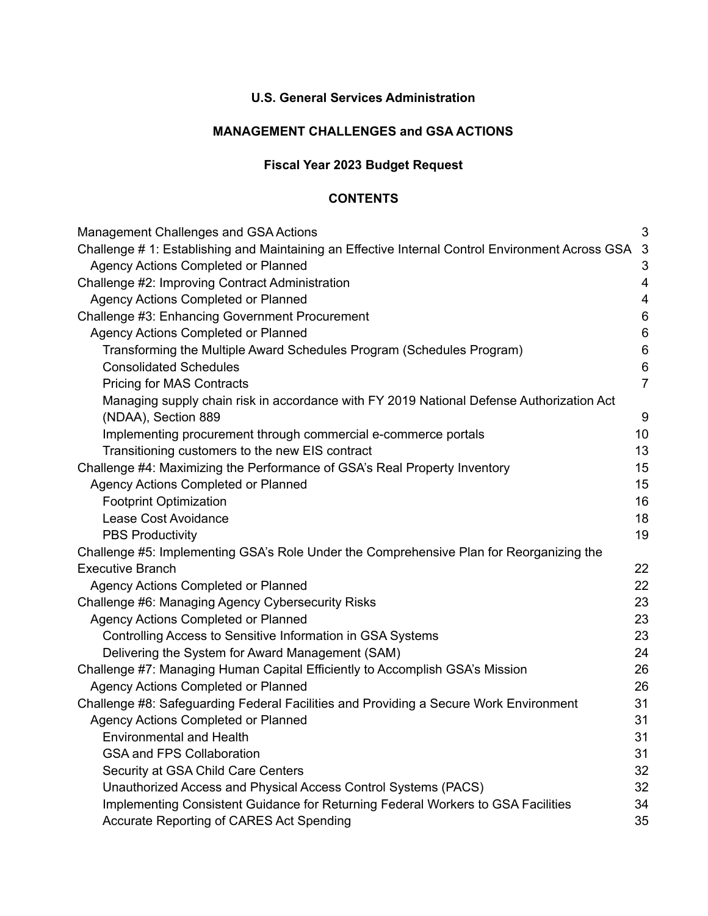# **U.S. General Services Administration**

# **MANAGEMENT CHALLENGES and GSA ACTIONS**

# **Fiscal Year 2023 Budget Request**

### **CONTENTS**

| Management Challenges and GSA Actions                                                              | 3              |
|----------------------------------------------------------------------------------------------------|----------------|
| Challenge # 1: Establishing and Maintaining an Effective Internal Control Environment Across GSA 3 |                |
| <b>Agency Actions Completed or Planned</b>                                                         | 3              |
| Challenge #2: Improving Contract Administration                                                    | 4              |
| Agency Actions Completed or Planned                                                                | 4              |
| Challenge #3: Enhancing Government Procurement                                                     | $\,6$          |
| Agency Actions Completed or Planned                                                                | $\,6$          |
| Transforming the Multiple Award Schedules Program (Schedules Program)                              | $\,6$          |
| <b>Consolidated Schedules</b>                                                                      | 6              |
| <b>Pricing for MAS Contracts</b>                                                                   | $\overline{7}$ |
| Managing supply chain risk in accordance with FY 2019 National Defense Authorization Act           |                |
| (NDAA), Section 889                                                                                | 9              |
| Implementing procurement through commercial e-commerce portals                                     | 10             |
| Transitioning customers to the new EIS contract                                                    | 13             |
| Challenge #4: Maximizing the Performance of GSA's Real Property Inventory                          | 15             |
| Agency Actions Completed or Planned                                                                | 15             |
| <b>Footprint Optimization</b>                                                                      | 16             |
| Lease Cost Avoidance                                                                               | 18             |
| <b>PBS Productivity</b>                                                                            | 19             |
| Challenge #5: Implementing GSA's Role Under the Comprehensive Plan for Reorganizing the            |                |
| <b>Executive Branch</b>                                                                            | 22             |
| Agency Actions Completed or Planned                                                                | 22             |
| Challenge #6: Managing Agency Cybersecurity Risks                                                  | 23             |
| Agency Actions Completed or Planned                                                                | 23             |
| Controlling Access to Sensitive Information in GSA Systems                                         | 23             |
| Delivering the System for Award Management (SAM)                                                   | 24             |
| Challenge #7: Managing Human Capital Efficiently to Accomplish GSA's Mission                       | 26             |
| Agency Actions Completed or Planned                                                                | 26             |
| Challenge #8: Safeguarding Federal Facilities and Providing a Secure Work Environment              | 31             |
| <b>Agency Actions Completed or Planned</b>                                                         | 31             |
| <b>Environmental and Health</b>                                                                    | 31             |
| <b>GSA and FPS Collaboration</b>                                                                   | 31             |
| Security at GSA Child Care Centers                                                                 | 32             |
| Unauthorized Access and Physical Access Control Systems (PACS)                                     | 32             |
| Implementing Consistent Guidance for Returning Federal Workers to GSA Facilities                   | 34             |
| Accurate Reporting of CARES Act Spending                                                           | 35             |
|                                                                                                    |                |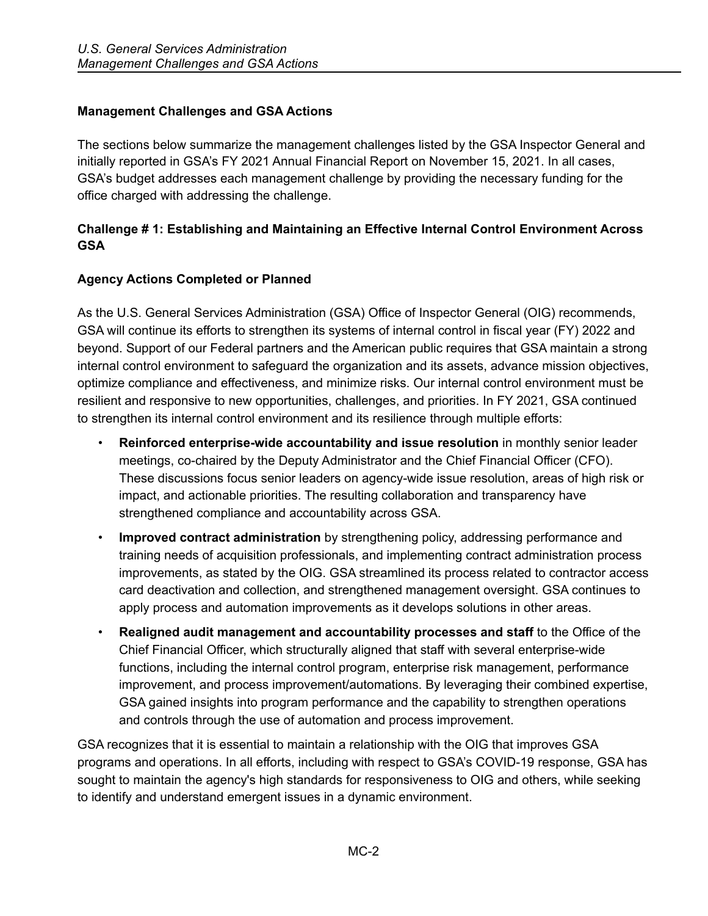### <span id="page-1-0"></span>**Management Challenges and GSA Actions**

The sections below summarize the management challenges listed by the GSA Inspector General and initially reported in GSA's FY 2021 Annual Financial Report on November 15, 2021. In all cases, GSA's budget addresses each management challenge by providing the necessary funding for the office charged with addressing the challenge.

# <span id="page-1-1"></span>**Challenge # 1: Establishing and Maintaining an Effective Internal Control Environment Across GSA**

### <span id="page-1-2"></span>**Agency Actions Completed or Planned**

As the U.S. General Services Administration (GSA) Office of Inspector General (OIG) recommends, GSA will continue its efforts to strengthen its systems of internal control in fiscal year (FY) 2022 and beyond. Support of our Federal partners and the American public requires that GSA maintain a strong internal control environment to safeguard the organization and its assets, advance mission objectives, optimize compliance and effectiveness, and minimize risks. Our internal control environment must be resilient and responsive to new opportunities, challenges, and priorities. In FY 2021, GSA continued to strengthen its internal control environment and its resilience through multiple efforts:

- **Reinforced enterprise-wide accountability and issue resolution** in monthly senior leader meetings, co-chaired by the Deputy Administrator and the Chief Financial Officer (CFO). These discussions focus senior leaders on agency-wide issue resolution, areas of high risk or impact, and actionable priorities. The resulting collaboration and transparency have strengthened compliance and accountability across GSA.
- **Improved contract administration** by strengthening policy, addressing performance and training needs of acquisition professionals, and implementing contract administration process improvements, as stated by the OIG. GSA streamlined its process related to contractor access card deactivation and collection, and strengthened management oversight. GSA continues to apply process and automation improvements as it develops solutions in other areas.
- **Realigned audit management and accountability processes and staff** to the Office of the Chief Financial Officer, which structurally aligned that staff with several enterprise-wide functions, including the internal control program, enterprise risk management, performance improvement, and process improvement/automations. By leveraging their combined expertise, GSA gained insights into program performance and the capability to strengthen operations and controls through the use of automation and process improvement.

GSA recognizes that it is essential to maintain a relationship with the OIG that improves GSA programs and operations. In all efforts, including with respect to GSA's COVID-19 response, GSA has sought to maintain the agency's high standards for responsiveness to OIG and others, while seeking to identify and understand emergent issues in a dynamic environment.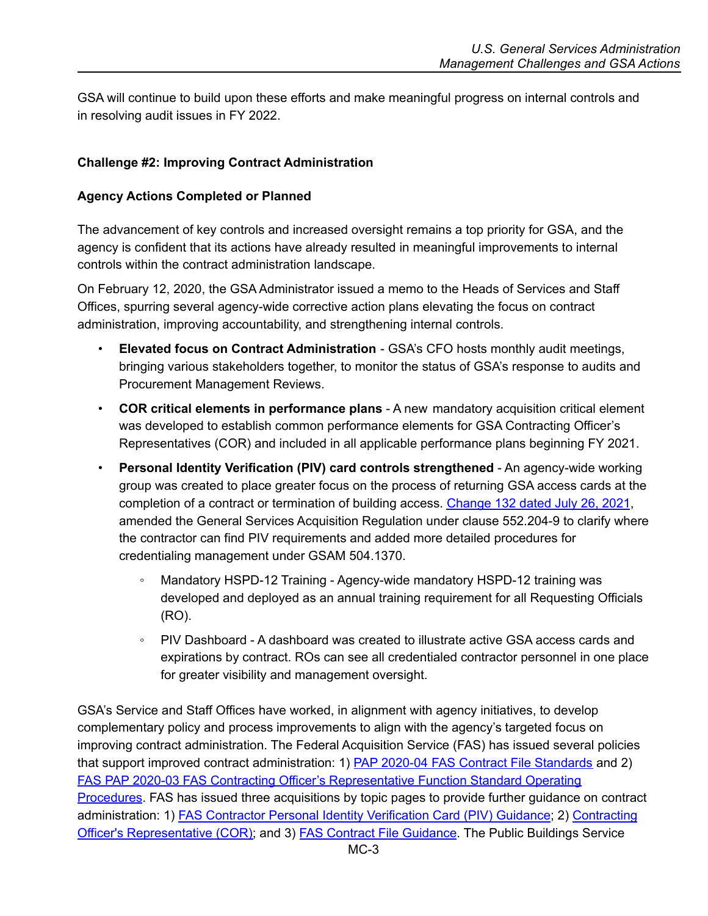GSA will continue to build upon these efforts and make meaningful progress on internal controls and in resolving audit issues in FY 2022.

#### <span id="page-2-0"></span>**Challenge #2: Improving Contract Administration**

#### <span id="page-2-1"></span>**Agency Actions Completed or Planned**

The advancement of key controls and increased oversight remains a top priority for GSA, and the agency is confident that its actions have already resulted in meaningful improvements to internal controls within the contract administration landscape.

On February 12, 2020, the GSA Administrator issued a memo to the Heads of Services and Staff Offices, spurring several agency-wide corrective action plans elevating the focus on contract administration, improving accountability, and strengthening internal controls.

- **Elevated focus on Contract Administration** GSA's CFO hosts monthly audit meetings, bringing various stakeholders together, to monitor the status of GSA's response to audits and Procurement Management Reviews.
- **COR critical elements in performance plans** A new mandatory acquisition critical element was developed to establish common performance elements for GSA Contracting Officer's Representatives (COR) and included in all applicable performance plans beginning FY 2021.
- **Personal Identity Verification (PIV) card controls strengthened** An agency-wide working group was created to place greater focus on the process of returning GSA access cards at the completion of a contract or termination of building access. [Change](https://www.acquisition.gov/sites/default/files/archives/loose_leaf/GSAM_Latest_Change_Order_1322020525.pdf) 132 dated July 26, 2021, amended the General Services Acquisition Regulation under clause 552.204-9 to clarify where the contractor can find PIV requirements and added more detailed procedures for credentialing management under GSAM 504.1370.
	- Mandatory HSPD-12 Training Agency-wide mandatory HSPD-12 training was developed and deployed as an annual training requirement for all Requesting Officials (RO).
	- PIV Dashboard A dashboard was created to illustrate active GSA access cards and expirations by contract. ROs can see all credentialed contractor personnel in one place for greater visibility and management oversight.

GSA's Service and Staff Offices have worked, in alignment with agency initiatives, to develop complementary policy and process improvements to align with the agency's targeted focus on improving contract administration. The Federal Acquisition Service (FAS) has issued several policies that support improved contract administration: 1) **PAP 2020-04 FAS Contract File [Standards](https://hallways.cap.gsa.gov/app/#/)** and 2) FAS PAP 2020-03 FAS Contracting Officer's [Representative](https://hallways.cap.gsa.gov/app/#/gateway/fas-acquisition-policy-library/57538/pap-2020-03-fas-contracting-officer-s-representative-function-standard-operating-procedures) Function Standard Operating [Procedures](https://hallways.cap.gsa.gov/app/#/gateway/fas-acquisition-policy-library/57538/pap-2020-03-fas-contracting-officer-s-representative-function-standard-operating-procedures). FAS has issued three acquisitions by topic pages to provide further guidance on contract administration: 1) FAS Contractor Personal Identity [Verification](https://hallways.cap.gsa.gov/app/#/gateway/fas-acquisition-policy-library/74191/fas-contractor-personal-identity-verification-PIV-card-guidance) Card (PIV) Guidance; 2) [Contracting](https://hallways.cap.gsa.gov/app/#/gateway/fas-acquisition-policy-library/57542/contracting-officer-s-representative-cor) Officer's [Representative](https://hallways.cap.gsa.gov/app/#/gateway/fas-acquisition-policy-library/57542/contracting-officer-s-representative-cor) (COR); and 3) **FAS Contract File [Guidance](https://hallways.cap.gsa.gov/app/#/gateway/fas-acquisition-policy-library/57718/fas-contract-file-guidance)**. The Public Buildings Service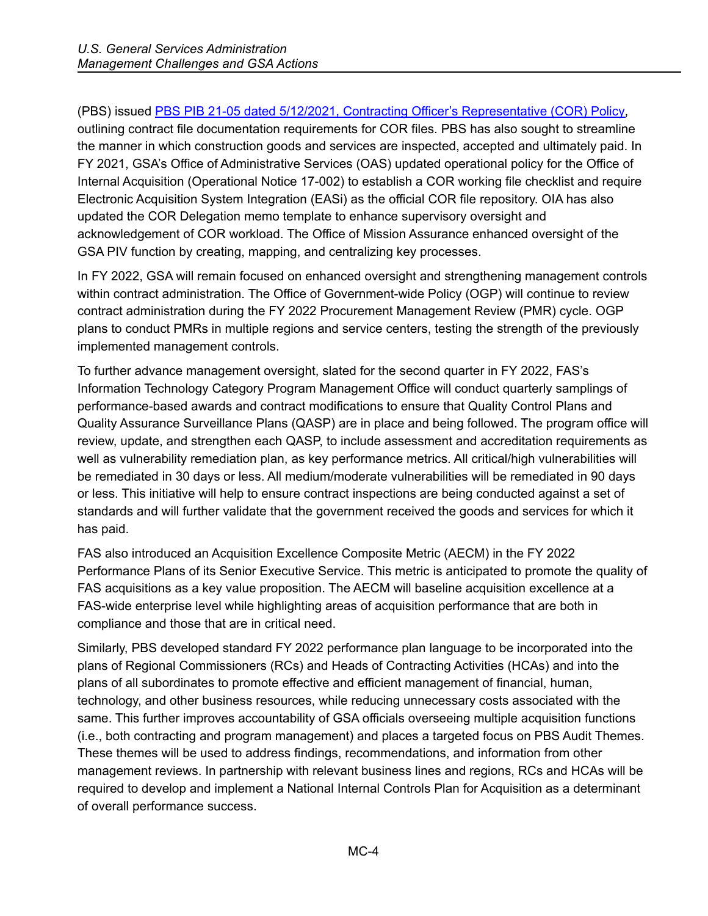### (PBS) issued PBS PIB 21-05 dated 5/12/2021, Contracting Officer's [Representative](https://insite.gsa.gov/cdnstatic/insite/PIB_21-05.pdf) (COR) Policy,

outlining contract file documentation requirements for COR files. PBS has also sought to streamline the manner in which construction goods and services are inspected, accepted and ultimately paid. In FY 2021, GSA's Office of Administrative Services (OAS) updated operational policy for the Office of Internal Acquisition (Operational Notice 17-002) to establish a COR working file checklist and require Electronic Acquisition System Integration (EASi) as the official COR file repository. OIA has also updated the COR Delegation memo template to enhance supervisory oversight and acknowledgement of COR workload. The Office of Mission Assurance enhanced oversight of the GSA PIV function by creating, mapping, and centralizing key processes.

In FY 2022, GSA will remain focused on enhanced oversight and strengthening management controls within contract administration. The Office of Government-wide Policy (OGP) will continue to review contract administration during the FY 2022 Procurement Management Review (PMR) cycle. OGP plans to conduct PMRs in multiple regions and service centers, testing the strength of the previously implemented management controls.

To further advance management oversight, slated for the second quarter in FY 2022, FAS's Information Technology Category Program Management Office will conduct quarterly samplings of performance-based awards and contract modifications to ensure that Quality Control Plans and Quality Assurance Surveillance Plans (QASP) are in place and being followed. The program office will review, update, and strengthen each QASP, to include assessment and accreditation requirements as well as vulnerability remediation plan, as key performance metrics. All critical/high vulnerabilities will be remediated in 30 days or less. All medium/moderate vulnerabilities will be remediated in 90 days or less. This initiative will help to ensure contract inspections are being conducted against a set of standards and will further validate that the government received the goods and services for which it has paid.

FAS also introduced an Acquisition Excellence Composite Metric (AECM) in the FY 2022 Performance Plans of its Senior Executive Service. This metric is anticipated to promote the quality of FAS acquisitions as a key value proposition. The AECM will baseline acquisition excellence at a FAS-wide enterprise level while highlighting areas of acquisition performance that are both in compliance and those that are in critical need.

Similarly, PBS developed standard FY 2022 performance plan language to be incorporated into the plans of Regional Commissioners (RCs) and Heads of Contracting Activities (HCAs) and into the plans of all subordinates to promote effective and efficient management of financial, human, technology, and other business resources, while reducing unnecessary costs associated with the same. This further improves accountability of GSA officials overseeing multiple acquisition functions (i.e., both contracting and program management) and places a targeted focus on PBS Audit Themes. These themes will be used to address findings, recommendations, and information from other management reviews. In partnership with relevant business lines and regions, RCs and HCAs will be required to develop and implement a National Internal Controls Plan for Acquisition as a determinant of overall performance success.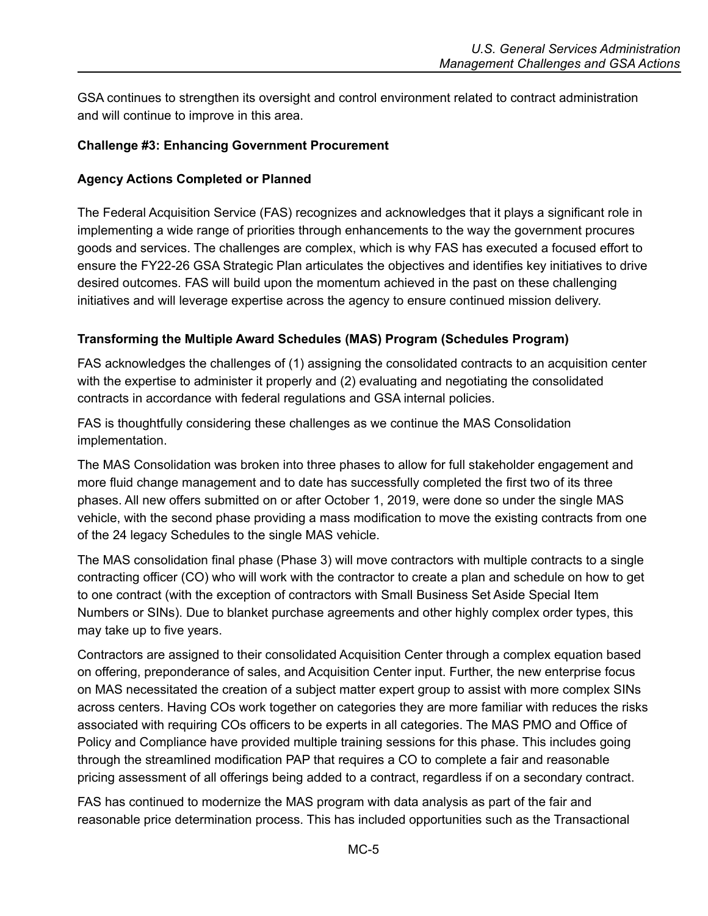GSA continues to strengthen its oversight and control environment related to contract administration and will continue to improve in this area.

#### <span id="page-4-0"></span>**Challenge #3: Enhancing Government Procurement**

#### <span id="page-4-1"></span>**Agency Actions Completed or Planned**

The Federal Acquisition Service (FAS) recognizes and acknowledges that it plays a significant role in implementing a wide range of priorities through enhancements to the way the government procures goods and services. The challenges are complex, which is why FAS has executed a focused effort to ensure the FY22-26 GSA Strategic Plan articulates the objectives and identifies key initiatives to drive desired outcomes. FAS will build upon the momentum achieved in the past on these challenging initiatives and will leverage expertise across the agency to ensure continued mission delivery.

#### **Transforming the Multiple Award Schedules (MAS) Program (Schedules Program)**

FAS acknowledges the challenges of (1) assigning the consolidated contracts to an acquisition center with the expertise to administer it properly and (2) evaluating and negotiating the consolidated contracts in accordance with federal regulations and GSA internal policies.

FAS is thoughtfully considering these challenges as we continue the MAS Consolidation implementation.

The MAS Consolidation was broken into three phases to allow for full stakeholder engagement and more fluid change management and to date has successfully completed the first two of its three phases. All new offers submitted on or after October 1, 2019, were done so under the single MAS vehicle, with the second phase providing a mass modification to move the existing contracts from one of the 24 legacy Schedules to the single MAS vehicle.

The MAS consolidation final phase (Phase 3) will move contractors with multiple contracts to a single contracting officer (CO) who will work with the contractor to create a plan and schedule on how to get to one contract (with the exception of contractors with Small Business Set Aside Special Item Numbers or SINs). Due to blanket purchase agreements and other highly complex order types, this may take up to five years.

Contractors are assigned to their consolidated Acquisition Center through a complex equation based on offering, preponderance of sales, and Acquisition Center input. Further, the new enterprise focus on MAS necessitated the creation of a subject matter expert group to assist with more complex SINs across centers. Having COs work together on categories they are more familiar with reduces the risks associated with requiring COs officers to be experts in all categories. The MAS PMO and Office of Policy and Compliance have provided multiple training sessions for this phase. This includes going through the streamlined modification PAP that requires a CO to complete a fair and reasonable pricing assessment of all offerings being added to a contract, regardless if on a secondary contract.

FAS has continued to modernize the MAS program with data analysis as part of the fair and reasonable price determination process. This has included opportunities such as the Transactional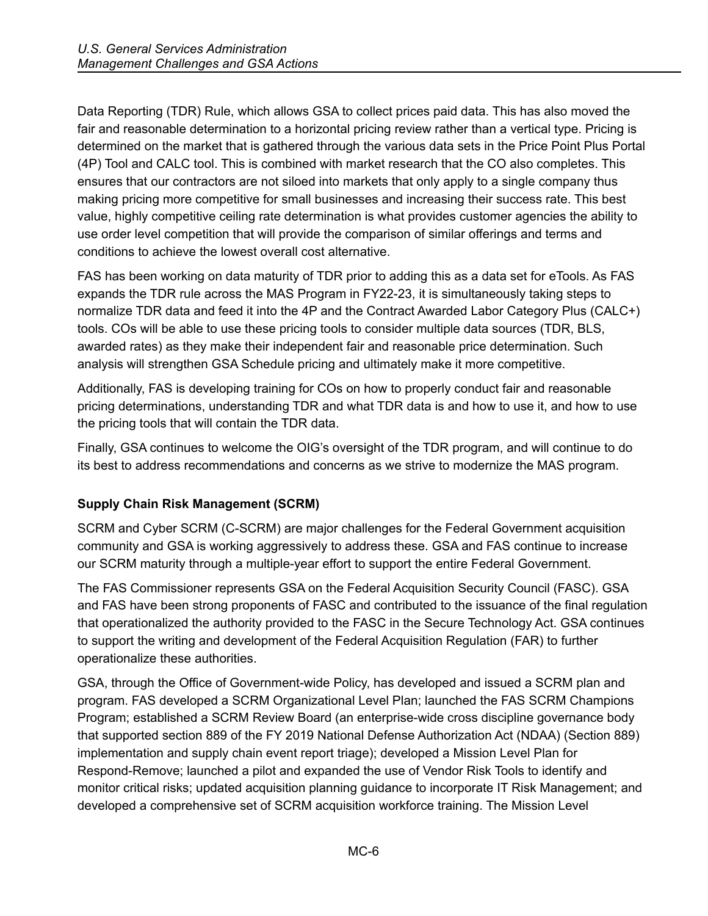Data Reporting (TDR) Rule, which allows GSA to collect prices paid data. This has also moved the fair and reasonable determination to a horizontal pricing review rather than a vertical type. Pricing is determined on the market that is gathered through the various data sets in the Price Point Plus Portal (4P) Tool and CALC tool. This is combined with market research that the CO also completes. This ensures that our contractors are not siloed into markets that only apply to a single company thus making pricing more competitive for small businesses and increasing their success rate. This best value, highly competitive ceiling rate determination is what provides customer agencies the ability to use order level competition that will provide the comparison of similar offerings and terms and conditions to achieve the lowest overall cost alternative.

FAS has been working on data maturity of TDR prior to adding this as a data set for eTools. As FAS expands the TDR rule across the MAS Program in FY22-23, it is simultaneously taking steps to normalize TDR data and feed it into the 4P and the Contract Awarded Labor Category Plus (CALC+) tools. COs will be able to use these pricing tools to consider multiple data sources (TDR, BLS, awarded rates) as they make their independent fair and reasonable price determination. Such analysis will strengthen GSA Schedule pricing and ultimately make it more competitive.

Additionally, FAS is developing training for COs on how to properly conduct fair and reasonable pricing determinations, understanding TDR and what TDR data is and how to use it, and how to use the pricing tools that will contain the TDR data.

Finally, GSA continues to welcome the OIG's oversight of the TDR program, and will continue to do its best to address recommendations and concerns as we strive to modernize the MAS program.

# **Supply Chain Risk Management (SCRM)**

SCRM and Cyber SCRM (C-SCRM) are major challenges for the Federal Government acquisition community and GSA is working aggressively to address these. GSA and FAS continue to increase our SCRM maturity through a multiple-year effort to support the entire Federal Government.

The FAS Commissioner represents GSA on the Federal Acquisition Security Council (FASC). GSA and FAS have been strong proponents of FASC and contributed to the issuance of the final regulation that operationalized the authority provided to the FASC in the Secure Technology Act. GSA continues to support the writing and development of the Federal Acquisition Regulation (FAR) to further operationalize these authorities.

GSA, through the Office of Government-wide Policy, has developed and issued a SCRM plan and program. FAS developed a SCRM Organizational Level Plan; launched the FAS SCRM Champions Program; established a SCRM Review Board (an enterprise-wide cross discipline governance body that supported section 889 of the FY 2019 National Defense Authorization Act (NDAA) (Section 889) implementation and supply chain event report triage); developed a Mission Level Plan for Respond-Remove; launched a pilot and expanded the use of Vendor Risk Tools to identify and monitor critical risks; updated acquisition planning guidance to incorporate IT Risk Management; and developed a comprehensive set of SCRM acquisition workforce training. The Mission Level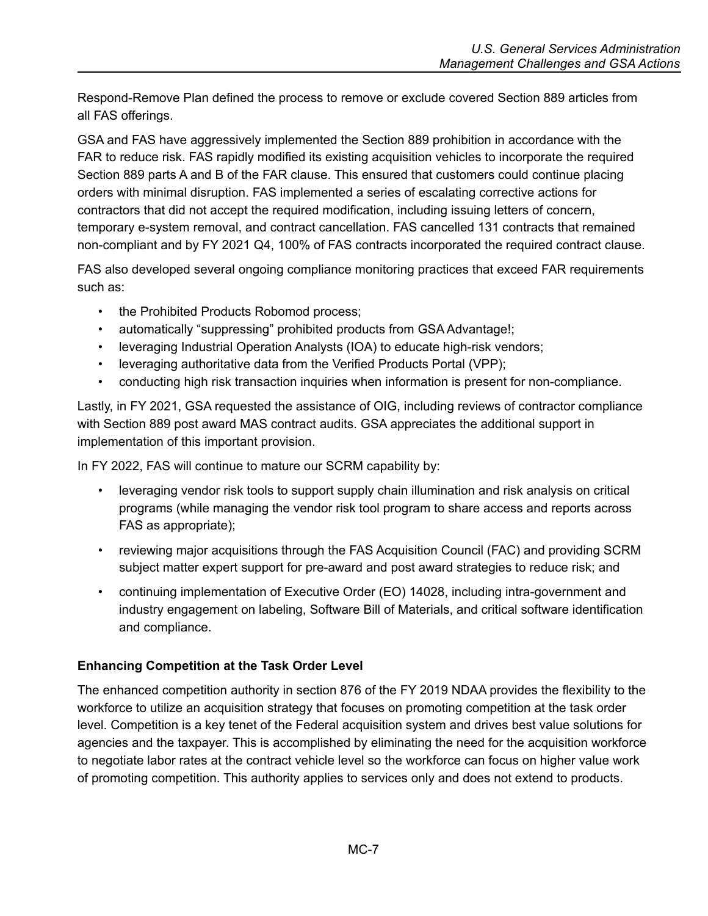Respond-Remove Plan defined the process to remove or exclude covered Section 889 articles from all FAS offerings.

GSA and FAS have aggressively implemented the Section 889 prohibition in accordance with the FAR to reduce risk. FAS rapidly modified its existing acquisition vehicles to incorporate the required Section 889 parts A and B of the FAR clause. This ensured that customers could continue placing orders with minimal disruption. FAS implemented a series of escalating corrective actions for contractors that did not accept the required modification, including issuing letters of concern, temporary e-system removal, and contract cancellation. FAS cancelled 131 contracts that remained non-compliant and by FY 2021 Q4, 100% of FAS contracts incorporated the required contract clause.

FAS also developed several ongoing compliance monitoring practices that exceed FAR requirements such as:

- the Prohibited Products Robomod process;
- automatically "suppressing" prohibited products from GSA Advantage!;
- leveraging Industrial Operation Analysts (IOA) to educate high-risk vendors;
- leveraging authoritative data from the Verified Products Portal (VPP);
- conducting high risk transaction inquiries when information is present for non-compliance.

Lastly, in FY 2021, GSA requested the assistance of OIG, including reviews of contractor compliance with Section 889 post award MAS contract audits. GSA appreciates the additional support in implementation of this important provision.

In FY 2022, FAS will continue to mature our SCRM capability by:

- leveraging vendor risk tools to support supply chain illumination and risk analysis on critical programs (while managing the vendor risk tool program to share access and reports across FAS as appropriate);
- reviewing major acquisitions through the FAS Acquisition Council (FAC) and providing SCRM subject matter expert support for pre-award and post award strategies to reduce risk; and
- continuing implementation of Executive Order (EO) 14028, including intra-government and industry engagement on labeling, Software Bill of Materials, and critical software identification and compliance.

### **Enhancing Competition at the Task Order Level**

The enhanced competition authority in section 876 of the FY 2019 NDAA provides the flexibility to the workforce to utilize an acquisition strategy that focuses on promoting competition at the task order level. Competition is a key tenet of the Federal acquisition system and drives best value solutions for agencies and the taxpayer. This is accomplished by eliminating the need for the acquisition workforce to negotiate labor rates at the contract vehicle level so the workforce can focus on higher value work of promoting competition. This authority applies to services only and does not extend to products.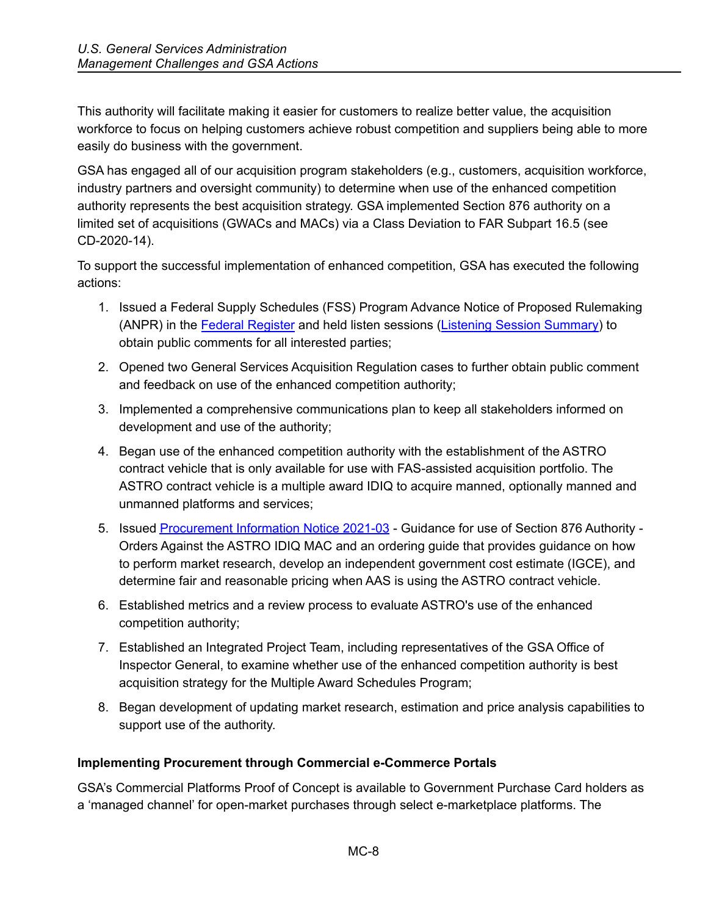This authority will facilitate making it easier for customers to realize better value, the acquisition workforce to focus on helping customers achieve robust competition and suppliers being able to more easily do business with the government.

GSA has engaged all of our acquisition program stakeholders (e.g., customers, acquisition workforce, industry partners and oversight community) to determine when use of the enhanced competition authority represents the best acquisition strategy. GSA implemented Section 876 authority on a limited set of acquisitions (GWACs and MACs) via a Class Deviation to FAR Subpart 16.5 (see CD-2020-14).

To support the successful implementation of enhanced competition, GSA has executed the following actions:

- 1. Issued a Federal Supply Schedules (FSS) Program Advance Notice of Proposed Rulemaking (ANPR) in the Federal [Register](https://www.regulations.gov/document/GSA-GSAR-2020-0014-0001) and held listen sessions (Listening Session [Summary\)](https://interact.gsa.gov/sites/default/files/Summary%20of%20Section%20876%20Industry%20Listening%20Sessions%20Speaker%20Version.pdf) to obtain public comments for all interested parties;
- 2. Opened two General Services Acquisition Regulation cases to further obtain public comment and feedback on use of the enhanced competition authority;
- 3. Implemented a comprehensive communications plan to keep all stakeholders informed on development and use of the authority;
- 4. Began use of the enhanced competition authority with the establishment of the ASTRO contract vehicle that is only available for use with FAS-assisted acquisition portfolio. The ASTRO contract vehicle is a multiple award IDIQ to acquire manned, optionally manned and unmanned platforms and services;
- 5. Issued [Procurement](https://hallways.cap.gsa.gov/app/#/gateway/fas-acquisition-policy-library/74597/pin-2021-03-guidance-for-use-of-section-876-authority-orders-against-the-astro-idiq-mac) Information Notice 2021-03 Guidance for use of Section 876 Authority Orders Against the ASTRO IDIQ MAC and an ordering guide that provides guidance on how to perform market research, develop an independent government cost estimate (IGCE), and determine fair and reasonable pricing when AAS is using the ASTRO contract vehicle.
- 6. Established metrics and a review process to evaluate ASTRO's use of the enhanced competition authority;
- 7. Established an Integrated Project Team, including representatives of the GSA Office of Inspector General, to examine whether use of the enhanced competition authority is best acquisition strategy for the Multiple Award Schedules Program;
- 8. Began development of updating market research, estimation and price analysis capabilities to support use of the authority.

# **Implementing Procurement through Commercial e-Commerce Portals**

GSA's Commercial Platforms Proof of Concept is available to Government Purchase Card holders as a 'managed channel' for open-market purchases through select e-marketplace platforms. The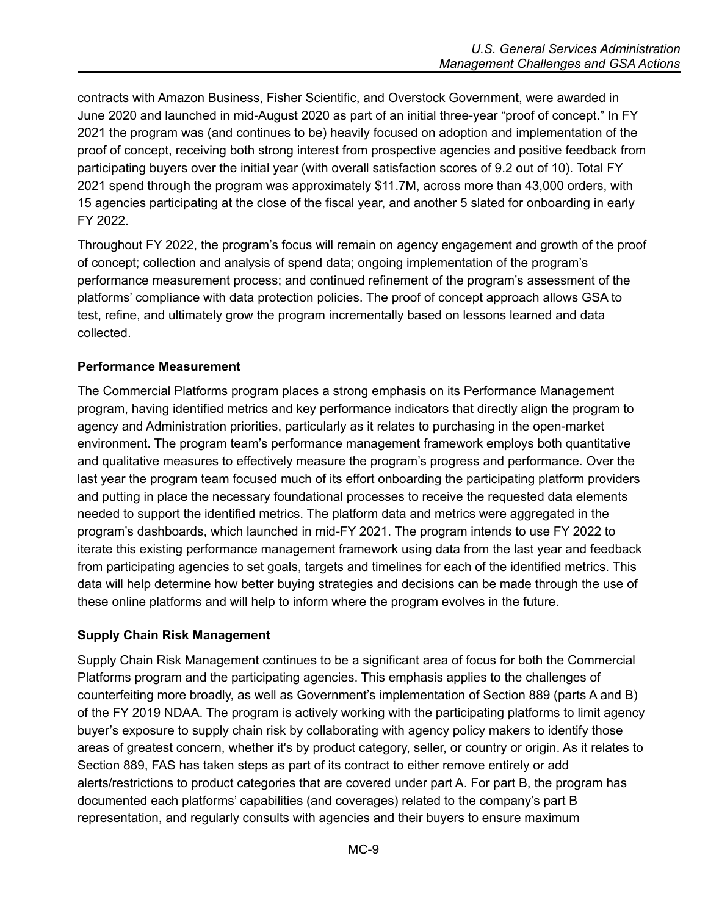contracts with Amazon Business, Fisher Scientific, and Overstock Government, were awarded in June 2020 and launched in mid-August 2020 as part of an initial three-year "proof of concept." In FY 2021 the program was (and continues to be) heavily focused on adoption and implementation of the proof of concept, receiving both strong interest from prospective agencies and positive feedback from participating buyers over the initial year (with overall satisfaction scores of 9.2 out of 10). Total FY 2021 spend through the program was approximately \$11.7M, across more than 43,000 orders, with 15 agencies participating at the close of the fiscal year, and another 5 slated for onboarding in early FY 2022.

Throughout FY 2022, the program's focus will remain on agency engagement and growth of the proof of concept; collection and analysis of spend data; ongoing implementation of the program's performance measurement process; and continued refinement of the program's assessment of the platforms' compliance with data protection policies. The proof of concept approach allows GSA to test, refine, and ultimately grow the program incrementally based on lessons learned and data collected.

#### **Performance Measurement**

The Commercial Platforms program places a strong emphasis on its Performance Management program, having identified metrics and key performance indicators that directly align the program to agency and Administration priorities, particularly as it relates to purchasing in the open-market environment. The program team's performance management framework employs both quantitative and qualitative measures to effectively measure the program's progress and performance. Over the last year the program team focused much of its effort onboarding the participating platform providers and putting in place the necessary foundational processes to receive the requested data elements needed to support the identified metrics. The platform data and metrics were aggregated in the program's dashboards, which launched in mid-FY 2021. The program intends to use FY 2022 to iterate this existing performance management framework using data from the last year and feedback from participating agencies to set goals, targets and timelines for each of the identified metrics. This data will help determine how better buying strategies and decisions can be made through the use of these online platforms and will help to inform where the program evolves in the future.

#### **Supply Chain Risk Management**

Supply Chain Risk Management continues to be a significant area of focus for both the Commercial Platforms program and the participating agencies. This emphasis applies to the challenges of counterfeiting more broadly, as well as Government's implementation of Section 889 (parts A and B) of the FY 2019 NDAA. The program is actively working with the participating platforms to limit agency buyer's exposure to supply chain risk by collaborating with agency policy makers to identify those areas of greatest concern, whether it's by product category, seller, or country or origin. As it relates to Section 889, FAS has taken steps as part of its contract to either remove entirely or add alerts/restrictions to product categories that are covered under part A. For part B, the program has documented each platforms' capabilities (and coverages) related to the company's part B representation, and regularly consults with agencies and their buyers to ensure maximum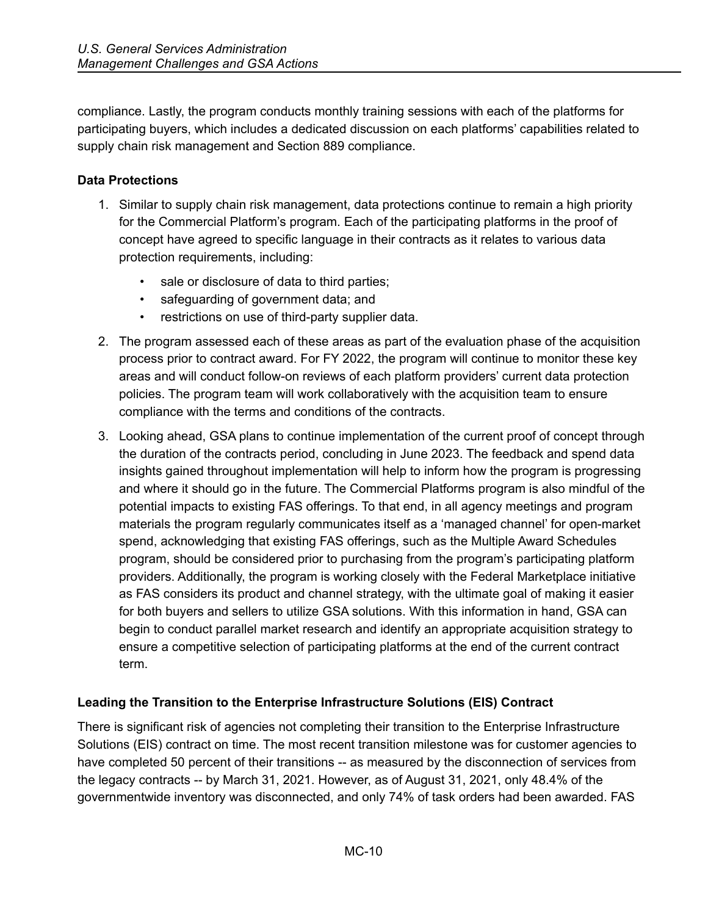compliance. Lastly, the program conducts monthly training sessions with each of the platforms for participating buyers, which includes a dedicated discussion on each platforms' capabilities related to supply chain risk management and Section 889 compliance.

### **Data Protections**

- 1. Similar to supply chain risk management, data protections continue to remain a high priority for the Commercial Platform's program. Each of the participating platforms in the proof of concept have agreed to specific language in their contracts as it relates to various data protection requirements, including:
	- sale or disclosure of data to third parties;
	- safeguarding of government data; and
	- restrictions on use of third-party supplier data.
- 2. The program assessed each of these areas as part of the evaluation phase of the acquisition process prior to contract award. For FY 2022, the program will continue to monitor these key areas and will conduct follow-on reviews of each platform providers' current data protection policies. The program team will work collaboratively with the acquisition team to ensure compliance with the terms and conditions of the contracts.
- 3. Looking ahead, GSA plans to continue implementation of the current proof of concept through the duration of the contracts period, concluding in June 2023. The feedback and spend data insights gained throughout implementation will help to inform how the program is progressing and where it should go in the future. The Commercial Platforms program is also mindful of the potential impacts to existing FAS offerings. To that end, in all agency meetings and program materials the program regularly communicates itself as a 'managed channel' for open-market spend, acknowledging that existing FAS offerings, such as the Multiple Award Schedules program, should be considered prior to purchasing from the program's participating platform providers. Additionally, the program is working closely with the Federal Marketplace initiative as FAS considers its product and channel strategy, with the ultimate goal of making it easier for both buyers and sellers to utilize GSA solutions. With this information in hand, GSA can begin to conduct parallel market research and identify an appropriate acquisition strategy to ensure a competitive selection of participating platforms at the end of the current contract term.

### **Leading the Transition to the Enterprise Infrastructure Solutions (EIS) Contract**

There is significant risk of agencies not completing their transition to the Enterprise Infrastructure Solutions (EIS) contract on time. The most recent transition milestone was for customer agencies to have completed 50 percent of their transitions -- as measured by the disconnection of services from the legacy contracts -- by March 31, 2021. However, as of August 31, 2021, only 48.4% of the governmentwide inventory was disconnected, and only 74% of task orders had been awarded. FAS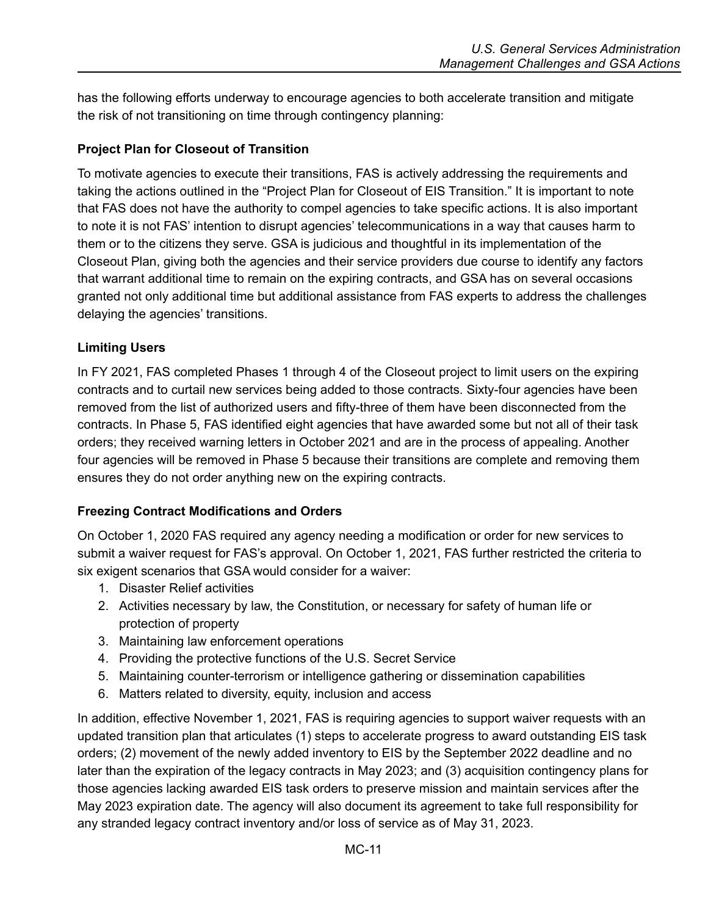has the following efforts underway to encourage agencies to both accelerate transition and mitigate the risk of not transitioning on time through contingency planning:

### **Project Plan for Closeout of Transition**

To motivate agencies to execute their transitions, FAS is actively addressing the requirements and taking the actions outlined in the "Project Plan for Closeout of EIS Transition." It is important to note that FAS does not have the authority to compel agencies to take specific actions. It is also important to note it is not FAS' intention to disrupt agencies' telecommunications in a way that causes harm to them or to the citizens they serve. GSA is judicious and thoughtful in its implementation of the Closeout Plan, giving both the agencies and their service providers due course to identify any factors that warrant additional time to remain on the expiring contracts, and GSA has on several occasions granted not only additional time but additional assistance from FAS experts to address the challenges delaying the agencies' transitions.

### **Limiting Users**

In FY 2021, FAS completed Phases 1 through 4 of the Closeout project to limit users on the expiring contracts and to curtail new services being added to those contracts. Sixty-four agencies have been removed from the list of authorized users and fifty-three of them have been disconnected from the contracts. In Phase 5, FAS identified eight agencies that have awarded some but not all of their task orders; they received warning letters in October 2021 and are in the process of appealing. Another four agencies will be removed in Phase 5 because their transitions are complete and removing them ensures they do not order anything new on the expiring contracts.

### **Freezing Contract Modifications and Orders**

On October 1, 2020 FAS required any agency needing a modification or order for new services to submit a waiver request for FAS's approval. On October 1, 2021, FAS further restricted the criteria to six exigent scenarios that GSA would consider for a waiver:

- 1. Disaster Relief activities
- 2. Activities necessary by law, the Constitution, or necessary for safety of human life or protection of property
- 3. Maintaining law enforcement operations
- 4. Providing the protective functions of the U.S. Secret Service
- 5. Maintaining counter-terrorism or intelligence gathering or dissemination capabilities
- 6. Matters related to diversity, equity, inclusion and access

In addition, effective November 1, 2021, FAS is requiring agencies to support waiver requests with an updated transition plan that articulates (1) steps to accelerate progress to award outstanding EIS task orders; (2) movement of the newly added inventory to EIS by the September 2022 deadline and no later than the expiration of the legacy contracts in May 2023; and (3) acquisition contingency plans for those agencies lacking awarded EIS task orders to preserve mission and maintain services after the May 2023 expiration date. The agency will also document its agreement to take full responsibility for any stranded legacy contract inventory and/or loss of service as of May 31, 2023.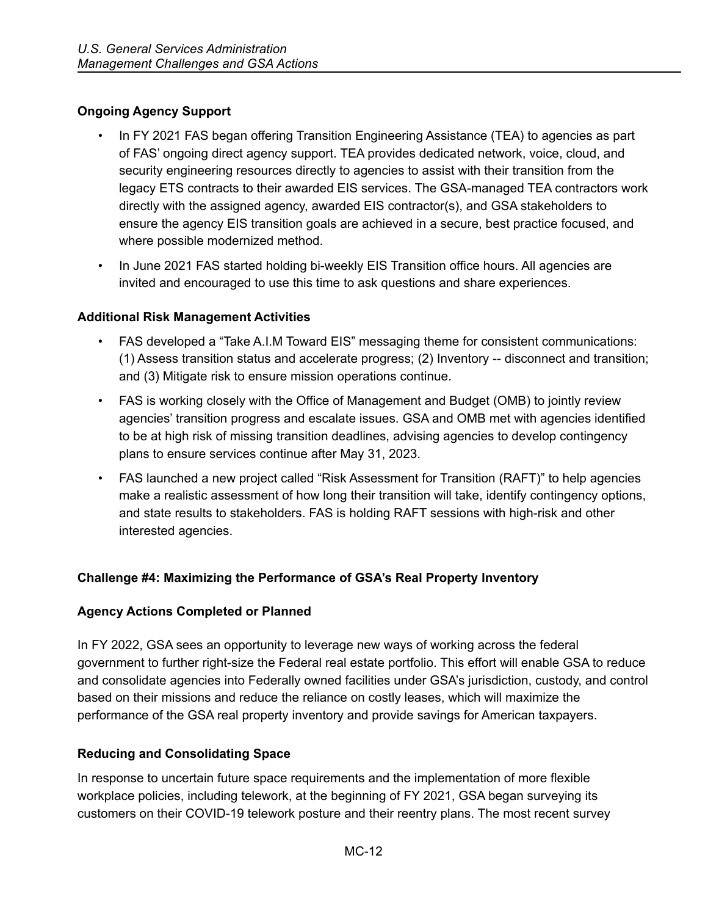# **Ongoing Agency Support**

- In FY 2021 FAS began offering Transition Engineering Assistance (TEA) to agencies as part of FAS' ongoing direct agency support. TEA provides dedicated network, voice, cloud, and security engineering resources directly to agencies to assist with their transition from the legacy ETS contracts to their awarded EIS services. The GSA-managed TEA contractors work directly with the assigned agency, awarded EIS contractor(s), and GSA stakeholders to ensure the agency EIS transition goals are achieved in a secure, best practice focused, and where possible modernized method.
- In June 2021 FAS started holding bi-weekly EIS Transition office hours. All agencies are invited and encouraged to use this time to ask questions and share experiences.

# **Additional Risk Management Activities**

- FAS developed a "Take A.I.M Toward EIS" messaging theme for consistent communications: (1) Assess transition status and accelerate progress; (2) Inventory -- disconnect and transition; and (3) Mitigate risk to ensure mission operations continue.
- FAS is working closely with the Office of Management and Budget (OMB) to jointly review agencies' transition progress and escalate issues. GSA and OMB met with agencies identified to be at high risk of missing transition deadlines, advising agencies to develop contingency plans to ensure services continue after May 31, 2023.
- FAS launched a new project called "Risk Assessment for Transition (RAFT)" to help agencies make a realistic assessment of how long their transition will take, identify contingency options, and state results to stakeholders. FAS is holding RAFT sessions with high-risk and other interested agencies.

# <span id="page-11-0"></span>**Challenge #4: Maximizing the Performance of GSA's Real Property Inventory**

# <span id="page-11-1"></span>**Agency Actions Completed or Planned**

In FY 2022, GSA sees an opportunity to leverage new ways of working across the federal government to further right-size the Federal real estate portfolio. This effort will enable GSA to reduce and consolidate agencies into Federally owned facilities under GSA's jurisdiction, custody, and control based on their missions and reduce the reliance on costly leases, which will maximize the performance of the GSA real property inventory and provide savings for American taxpayers.

# **Reducing and Consolidating Space**

In response to uncertain future space requirements and the implementation of more flexible workplace policies, including telework, at the beginning of FY 2021, GSA began surveying its customers on their COVID-19 telework posture and their reentry plans. The most recent survey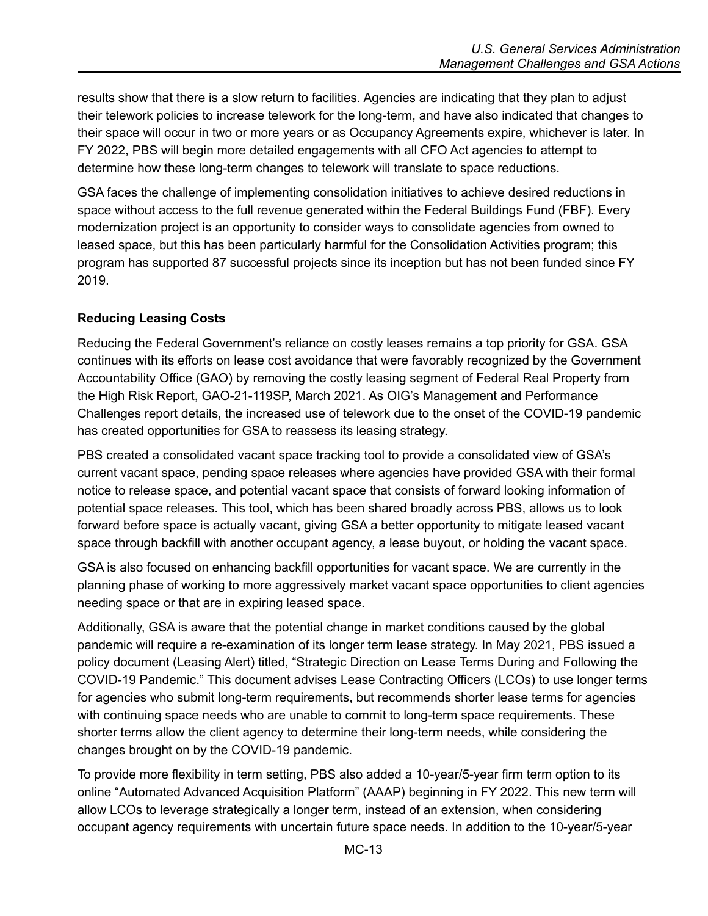results show that there is a slow return to facilities. Agencies are indicating that they plan to adjust their telework policies to increase telework for the long-term, and have also indicated that changes to their space will occur in two or more years or as Occupancy Agreements expire, whichever is later. In FY 2022, PBS will begin more detailed engagements with all CFO Act agencies to attempt to determine how these long-term changes to telework will translate to space reductions.

GSA faces the challenge of implementing consolidation initiatives to achieve desired reductions in space without access to the full revenue generated within the Federal Buildings Fund (FBF). Every modernization project is an opportunity to consider ways to consolidate agencies from owned to leased space, but this has been particularly harmful for the Consolidation Activities program; this program has supported 87 successful projects since its inception but has not been funded since FY 2019.

### **Reducing Leasing Costs**

Reducing the Federal Government's reliance on costly leases remains a top priority for GSA. GSA continues with its efforts on lease cost avoidance that were favorably recognized by the Government Accountability Office (GAO) by removing the costly leasing segment of Federal Real Property from the High Risk Report, GAO-21-119SP, March 2021. As OIG's Management and Performance Challenges report details, the increased use of telework due to the onset of the COVID-19 pandemic has created opportunities for GSA to reassess its leasing strategy.

PBS created a consolidated vacant space tracking tool to provide a consolidated view of GSA's current vacant space, pending space releases where agencies have provided GSA with their formal notice to release space, and potential vacant space that consists of forward looking information of potential space releases. This tool, which has been shared broadly across PBS, allows us to look forward before space is actually vacant, giving GSA a better opportunity to mitigate leased vacant space through backfill with another occupant agency, a lease buyout, or holding the vacant space.

GSA is also focused on enhancing backfill opportunities for vacant space. We are currently in the planning phase of working to more aggressively market vacant space opportunities to client agencies needing space or that are in expiring leased space.

Additionally, GSA is aware that the potential change in market conditions caused by the global pandemic will require a re-examination of its longer term lease strategy. In May 2021, PBS issued a policy document (Leasing Alert) titled, "Strategic Direction on Lease Terms During and Following the COVID-19 Pandemic." This document advises Lease Contracting Officers (LCOs) to use longer terms for agencies who submit long-term requirements, but recommends shorter lease terms for agencies with continuing space needs who are unable to commit to long-term space requirements. These shorter terms allow the client agency to determine their long-term needs, while considering the changes brought on by the COVID-19 pandemic.

To provide more flexibility in term setting, PBS also added a 10-year/5-year firm term option to its online "Automated Advanced Acquisition Platform" (AAAP) beginning in FY 2022. This new term will allow LCOs to leverage strategically a longer term, instead of an extension, when considering occupant agency requirements with uncertain future space needs. In addition to the 10-year/5-year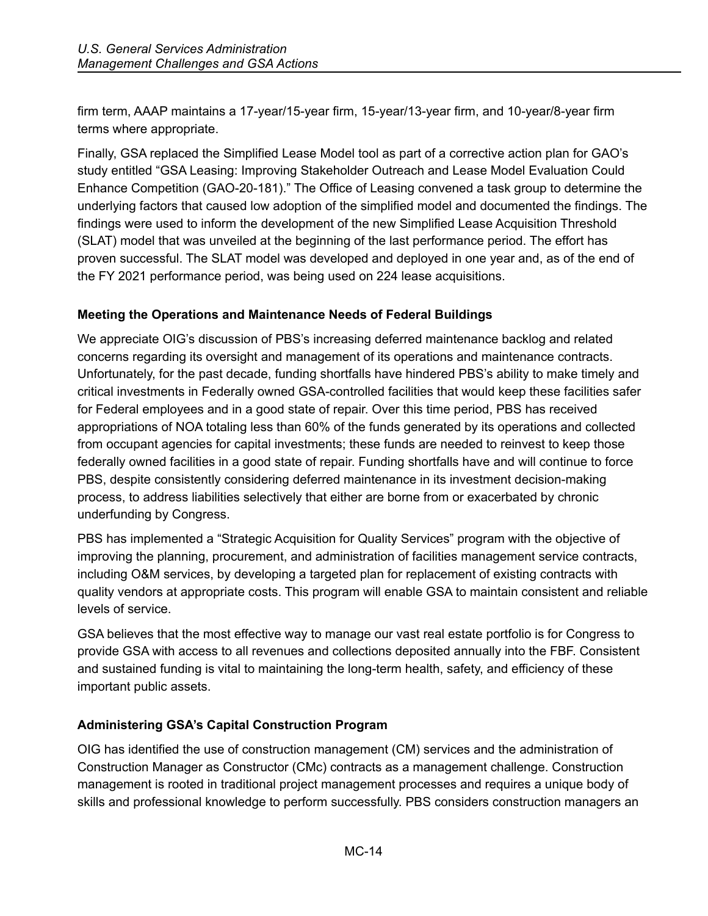firm term, AAAP maintains a 17-year/15-year firm, 15-year/13-year firm, and 10-year/8-year firm terms where appropriate.

Finally, GSA replaced the Simplified Lease Model tool as part of a corrective action plan for GAO's study entitled "GSA Leasing: Improving Stakeholder Outreach and Lease Model Evaluation Could Enhance Competition (GAO-20-181)." The Office of Leasing convened a task group to determine the underlying factors that caused low adoption of the simplified model and documented the findings. The findings were used to inform the development of the new Simplified Lease Acquisition Threshold (SLAT) model that was unveiled at the beginning of the last performance period. The effort has proven successful. The SLAT model was developed and deployed in one year and, as of the end of the FY 2021 performance period, was being used on 224 lease acquisitions.

### **Meeting the Operations and Maintenance Needs of Federal Buildings**

We appreciate OIG's discussion of PBS's increasing deferred maintenance backlog and related concerns regarding its oversight and management of its operations and maintenance contracts. Unfortunately, for the past decade, funding shortfalls have hindered PBS's ability to make timely and critical investments in Federally owned GSA-controlled facilities that would keep these facilities safer for Federal employees and in a good state of repair. Over this time period, PBS has received appropriations of NOA totaling less than 60% of the funds generated by its operations and collected from occupant agencies for capital investments; these funds are needed to reinvest to keep those federally owned facilities in a good state of repair. Funding shortfalls have and will continue to force PBS, despite consistently considering deferred maintenance in its investment decision-making process, to address liabilities selectively that either are borne from or exacerbated by chronic underfunding by Congress.

PBS has implemented a "Strategic Acquisition for Quality Services" program with the objective of improving the planning, procurement, and administration of facilities management service contracts, including O&M services, by developing a targeted plan for replacement of existing contracts with quality vendors at appropriate costs. This program will enable GSA to maintain consistent and reliable levels of service.

GSA believes that the most effective way to manage our vast real estate portfolio is for Congress to provide GSA with access to all revenues and collections deposited annually into the FBF. Consistent and sustained funding is vital to maintaining the long-term health, safety, and efficiency of these important public assets.

# **Administering GSA's Capital Construction Program**

OIG has identified the use of construction management (CM) services and the administration of Construction Manager as Constructor (CMc) contracts as a management challenge. Construction management is rooted in traditional project management processes and requires a unique body of skills and professional knowledge to perform successfully. PBS considers construction managers an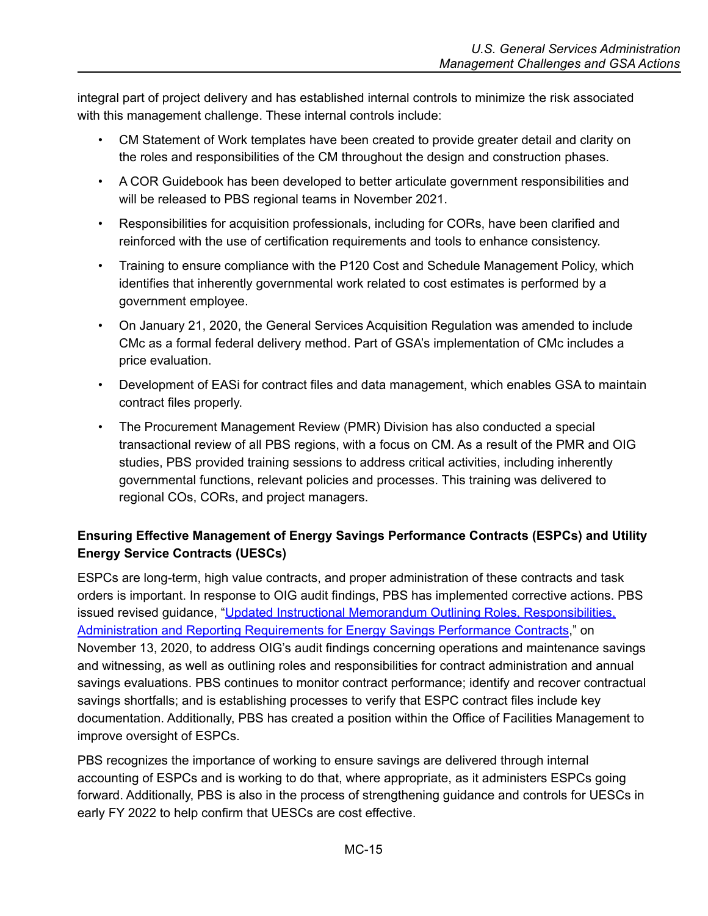integral part of project delivery and has established internal controls to minimize the risk associated with this management challenge. These internal controls include:

- CM Statement of Work templates have been created to provide greater detail and clarity on the roles and responsibilities of the CM throughout the design and construction phases.
- A COR Guidebook has been developed to better articulate government responsibilities and will be released to PBS regional teams in November 2021.
- Responsibilities for acquisition professionals, including for CORs, have been clarified and reinforced with the use of certification requirements and tools to enhance consistency.
- Training to ensure compliance with the P120 Cost and Schedule Management Policy, which identifies that inherently governmental work related to cost estimates is performed by a government employee.
- On January 21, 2020, the General Services Acquisition Regulation was amended to include CMc as a formal federal delivery method. Part of GSA's implementation of CMc includes a price evaluation.
- Development of EASi for contract files and data management, which enables GSA to maintain contract files properly.
- The Procurement Management Review (PMR) Division has also conducted a special transactional review of all PBS regions, with a focus on CM. As a result of the PMR and OIG studies, PBS provided training sessions to address critical activities, including inherently governmental functions, relevant policies and processes. This training was delivered to regional COs, CORs, and project managers.

# **Ensuring Effective Management of Energy Savings Performance Contracts (ESPCs) and Utility Energy Service Contracts (UESCs)**

ESPCs are long-term, high value contracts, and proper administration of these contracts and task orders is important. In response to OIG audit findings, PBS has implemented corrective actions. PBS issued revised guidance, "Updated Instructional Memorandum Outlining Roles, [Responsibilities,](https://drive.google.com/file/d/1JW0pFjxpyeaadvkGkRrbZ0z8VaAKTWhE/view?pli=1) [Administration](https://drive.google.com/file/d/1JW0pFjxpyeaadvkGkRrbZ0z8VaAKTWhE/view?pli=1) and Reporting Requirements for Energy Savings Performance Contracts," on November 13, 2020, to address OIG's audit findings concerning operations and maintenance savings and witnessing, as well as outlining roles and responsibilities for contract administration and annual savings evaluations. PBS continues to monitor contract performance; identify and recover contractual savings shortfalls; and is establishing processes to verify that ESPC contract files include key documentation. Additionally, PBS has created a position within the Office of Facilities Management to improve oversight of ESPCs.

PBS recognizes the importance of working to ensure savings are delivered through internal accounting of ESPCs and is working to do that, where appropriate, as it administers ESPCs going forward. Additionally, PBS is also in the process of strengthening guidance and controls for UESCs in early FY 2022 to help confirm that UESCs are cost effective.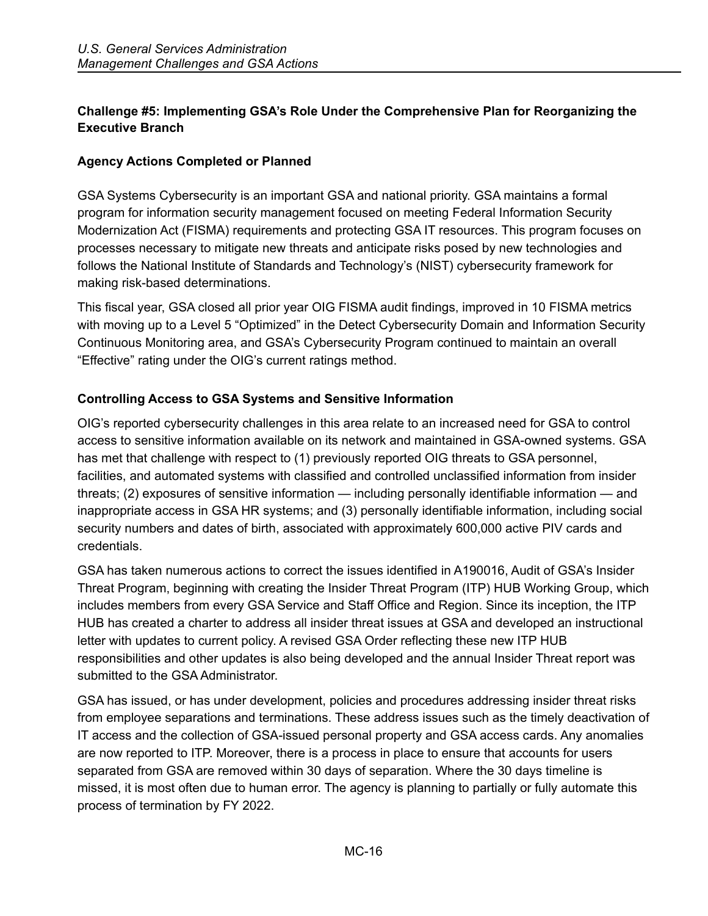## <span id="page-15-0"></span>**Challenge #5: Implementing GSA's Role Under the Comprehensive Plan for Reorganizing the Executive Branch**

### <span id="page-15-1"></span>**Agency Actions Completed or Planned**

GSA Systems Cybersecurity is an important GSA and national priority. GSA maintains a formal program for information security management focused on meeting Federal Information Security Modernization Act (FISMA) requirements and protecting GSA IT resources. This program focuses on processes necessary to mitigate new threats and anticipate risks posed by new technologies and follows the National Institute of Standards and Technology's (NIST) cybersecurity framework for making risk-based determinations.

This fiscal year, GSA closed all prior year OIG FISMA audit findings, improved in 10 FISMA metrics with moving up to a Level 5 "Optimized" in the Detect Cybersecurity Domain and Information Security Continuous Monitoring area, and GSA's Cybersecurity Program continued to maintain an overall "Effective" rating under the OIG's current ratings method.

### **Controlling Access to GSA Systems and Sensitive Information**

OIG's reported cybersecurity challenges in this area relate to an increased need for GSA to control access to sensitive information available on its network and maintained in GSA-owned systems. GSA has met that challenge with respect to (1) previously reported OIG threats to GSA personnel, facilities, and automated systems with classified and controlled unclassified information from insider threats; (2) exposures of sensitive information — including personally identifiable information — and inappropriate access in GSA HR systems; and (3) personally identifiable information, including social security numbers and dates of birth, associated with approximately 600,000 active PIV cards and credentials.

GSA has taken numerous actions to correct the issues identified in A190016, Audit of GSA's Insider Threat Program, beginning with creating the Insider Threat Program (ITP) HUB Working Group, which includes members from every GSA Service and Staff Office and Region. Since its inception, the ITP HUB has created a charter to address all insider threat issues at GSA and developed an instructional letter with updates to current policy. A revised GSA Order reflecting these new ITP HUB responsibilities and other updates is also being developed and the annual Insider Threat report was submitted to the GSA Administrator.

GSA has issued, or has under development, policies and procedures addressing insider threat risks from employee separations and terminations. These address issues such as the timely deactivation of IT access and the collection of GSA-issued personal property and GSA access cards. Any anomalies are now reported to ITP. Moreover, there is a process in place to ensure that accounts for users separated from GSA are removed within 30 days of separation. Where the 30 days timeline is missed, it is most often due to human error. The agency is planning to partially or fully automate this process of termination by FY 2022.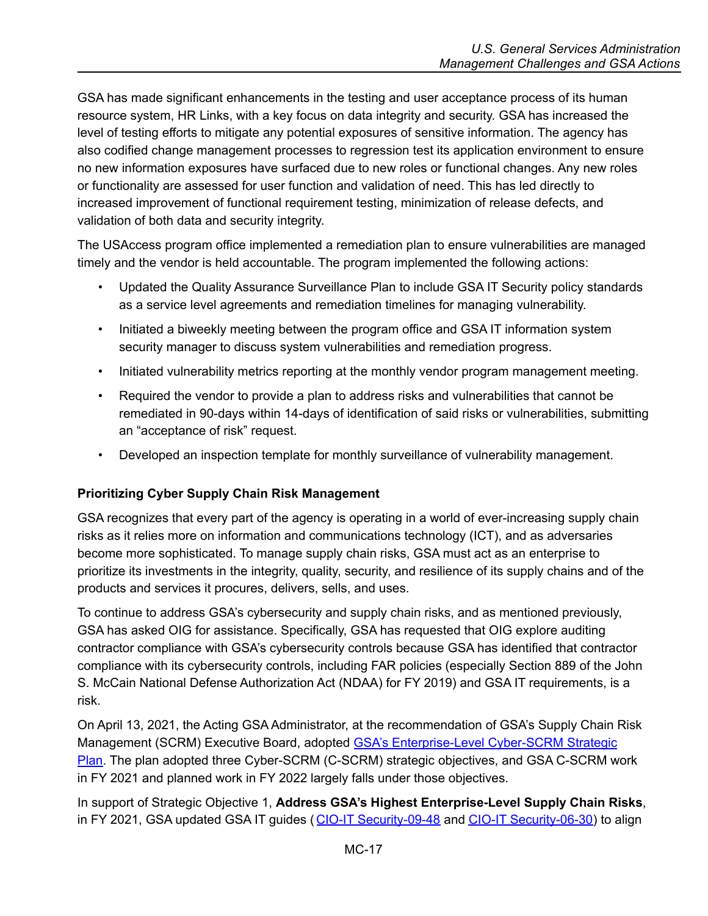GSA has made significant enhancements in the testing and user acceptance process of its human resource system, HR Links, with a key focus on data integrity and security. GSA has increased the level of testing efforts to mitigate any potential exposures of sensitive information. The agency has also codified change management processes to regression test its application environment to ensure no new information exposures have surfaced due to new roles or functional changes. Any new roles or functionality are assessed for user function and validation of need. This has led directly to increased improvement of functional requirement testing, minimization of release defects, and validation of both data and security integrity.

The USAccess program office implemented a remediation plan to ensure vulnerabilities are managed timely and the vendor is held accountable. The program implemented the following actions:

- Updated the Quality Assurance Surveillance Plan to include GSA IT Security policy standards as a service level agreements and remediation timelines for managing vulnerability.
- Initiated a biweekly meeting between the program office and GSA IT information system security manager to discuss system vulnerabilities and remediation progress.
- Initiated vulnerability metrics reporting at the monthly vendor program management meeting.
- Required the vendor to provide a plan to address risks and vulnerabilities that cannot be remediated in 90-days within 14-days of identification of said risks or vulnerabilities, submitting an "acceptance of risk" request.
- Developed an inspection template for monthly surveillance of vulnerability management.

### **Prioritizing Cyber Supply Chain Risk Management**

GSA recognizes that every part of the agency is operating in a world of ever-increasing supply chain risks as it relies more on information and communications technology (ICT), and as adversaries become more sophisticated. To manage supply chain risks, GSA must act as an enterprise to prioritize its investments in the integrity, quality, security, and resilience of its supply chains and of the products and services it procures, delivers, sells, and uses.

To continue to address GSA's cybersecurity and supply chain risks, and as mentioned previously, GSA has asked OIG for assistance. Specifically, GSA has requested that OIG explore auditing contractor compliance with GSA's cybersecurity controls because GSA has identified that contractor compliance with its cybersecurity controls, including FAR policies (especially Section 889 of the John S. McCain National Defense Authorization Act (NDAA) for FY 2019) and GSA IT requirements, is a risk.

On April 13, 2021, the Acting GSA Administrator, at the recommendation of GSA's Supply Chain Risk Management (SCRM) Executive Board, adopted GSA's [Enterprise-Level](https://www.gsa.gov/cdnstatic/GSA%20Enterprise-Level%20C-SCRM%20Strategic%20Plan%2020210623_0.pdf) Cyber-SCRM Strategic [Plan](https://www.gsa.gov/cdnstatic/GSA%20Enterprise-Level%20C-SCRM%20Strategic%20Plan%2020210623_0.pdf). The plan adopted three Cyber-SCRM (C-SCRM) strategic objectives, and GSA C-SCRM work in FY 2021 and planned work in FY 2022 largely falls under those objectives.

In support of Strategic Objective 1, **Address GSA's Highest Enterprise-Level Supply Chain Risks**, in FY 2021, GSA updated GSA IT guides (CIO-IT [Security-09-48](https://www.gsa.gov/cdnstatic/Security_and_Privacy_Requirements_for_IT_Acquisition_Efforts_%5BCIO_IT_Security_09-48_Rev_6%5D_04-15-2021%20(1).pdf) and CIO-IT [Security-06-30\)](https://www.gsa.gov/cdnstatic/Managing-Enterprise-Cybersecurity-Risk-%5BCIO-IT-Security-06-30-Rev-20%5D-05-18-2021%20(2).pdf) to align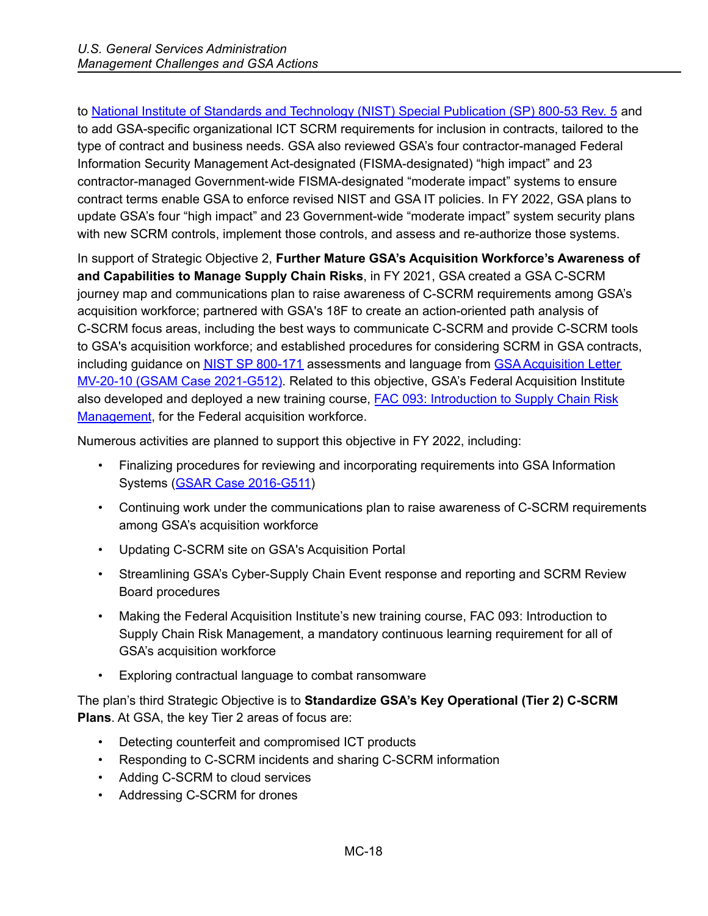to National Institute of Standards and [Technology](https://csrc.nist.gov/publications/detail/sp/800-53/rev-5/final) (NIST) Special Publication (SP) 800-53 Rev. 5 and to add GSA-specific organizational ICT SCRM requirements for inclusion in contracts, tailored to the type of contract and business needs. GSA also reviewed GSA's four contractor-managed Federal Information Security Management Act-designated (FISMA-designated) "high impact" and 23 contractor-managed Government-wide FISMA-designated "moderate impact" systems to ensure contract terms enable GSA to enforce revised NIST and GSA IT policies. In FY 2022, GSA plans to update GSA's four "high impact" and 23 Government-wide "moderate impact" system security plans with new SCRM controls, implement those controls, and assess and re-authorize those systems.

In support of Strategic Objective 2, **Further Mature GSA's Acquisition Workforce's Awareness of and Capabilities to Manage Supply Chain Risks**, in FY 2021, GSA created a GSA C-SCRM journey map and communications plan to raise awareness of C-SCRM requirements among GSA's acquisition workforce; partnered with GSA's 18F to create an action-oriented path analysis of C-SCRM focus areas, including the best ways to communicate C-SCRM and provide C-SCRM tools to GSA's acquisition workforce; and established procedures for considering SCRM in GSA contracts, including guidance on NIST SP [800-171](https://csrc.nist.gov/publications/detail/sp/800-171/rev-2/final) assessments and language from GSA [Acquisition](https://www.gsa.gov/cdnstatic/MV-20-10_0.pdf) Letter MV-20-10 (GSAM Case [2021-G512\)](https://www.gsa.gov/cdnstatic/MV-20-10_0.pdf). Related to this objective, GSA's Federal Acquisition Institute also developed and deployed a new training course, FAC 093: [Introduction](https://www.fai.gov/announcements/fai-announces-fac-093-introduction-supply-chain-risk-management) to Supply Chain Risk [Management](https://www.fai.gov/announcements/fai-announces-fac-093-introduction-supply-chain-risk-management), for the Federal acquisition workforce.

Numerous activities are planned to support this objective in FY 2022, including:

- Finalizing procedures for reviewing and incorporating requirements into GSA Information Systems (GSAR Case [2016-G511\)](https://www.federalregister.gov/documents/2021/09/10/2021-18866/general-services-acquisition-regulation-gsar-gsar-case-2016-g511-contract-requirements-for-gsa)
- Continuing work under the communications plan to raise awareness of C-SCRM requirements among GSA's acquisition workforce
- Updating C-SCRM site on GSA's Acquisition Portal
- Streamlining GSA's Cyber-Supply Chain Event response and reporting and SCRM Review Board procedures
- Making the Federal Acquisition Institute's new training course, FAC 093: Introduction to Supply Chain Risk Management, a mandatory continuous learning requirement for all of GSA's acquisition workforce
- Exploring contractual language to combat ransomware

The plan's third Strategic Objective is to **Standardize GSA's Key Operational (Tier 2) C-SCRM Plans**. At GSA, the key Tier 2 areas of focus are:

- Detecting counterfeit and compromised ICT products
- Responding to C-SCRM incidents and sharing C-SCRM information
- Adding C-SCRM to cloud services
- Addressing C-SCRM for drones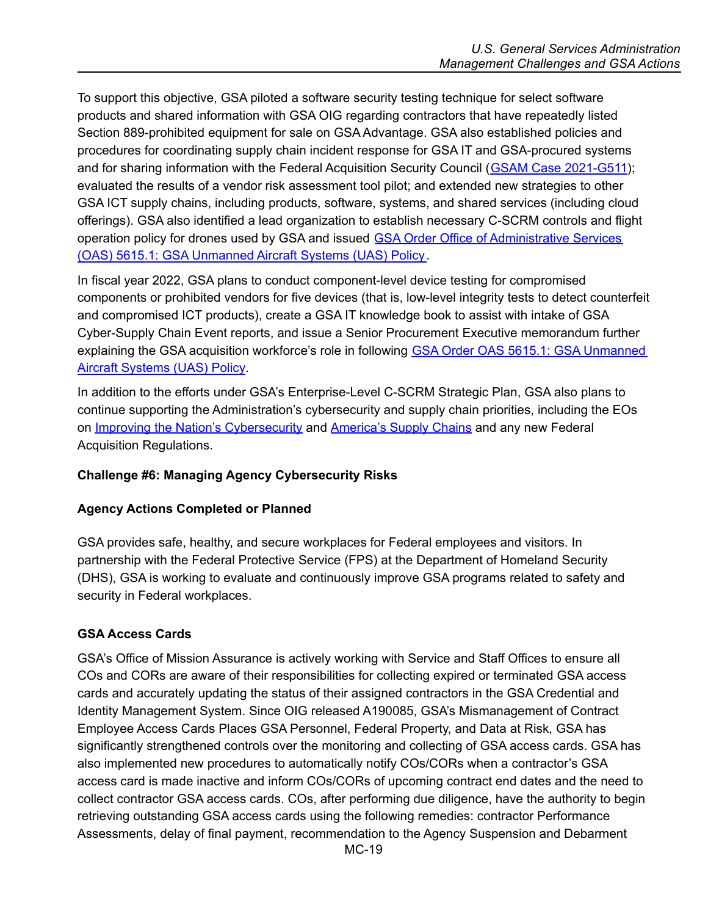To support this objective, GSA piloted a software security testing technique for select software products and shared information with GSA OIG regarding contractors that have repeatedly listed Section 889-prohibited equipment for sale on GSA Advantage. GSA also established policies and procedures for coordinating supply chain incident response for GSA IT and GSA-procured systems and for sharing information with the Federal Acquisition Security Council (GSAM Case [2021-G511\)](https://www.acquisition.gov/archives/change-135-gsam-case-2021-g511); evaluated the results of a vendor risk assessment tool pilot; and extended new strategies to other GSA ICT supply chains, including products, software, systems, and shared services (including cloud offerings). GSA also identified a lead organization to establish necessary C-SCRM controls and flight operation policy for drones used by GSA and issued GSA Order Office of [Administrative](https://www.gsa.gov/directive/gsa-unmanned-aircraft-systems-(uas)-policy) Services (OAS) 5615.1: GSA [Unmanned](https://www.gsa.gov/directive/gsa-unmanned-aircraft-systems-(uas)-policy) Aircraft Systems (UAS) Policy.

In fiscal year 2022, GSA plans to conduct component-level device testing for compromised components or prohibited vendors for five devices (that is, low-level integrity tests to detect counterfeit and compromised ICT products), create a GSA IT knowledge book to assist with intake of GSA Cyber-Supply Chain Event reports, and issue a Senior Procurement Executive memorandum further explaining the GSA acquisition workforce's role in following GSA Order OAS 5615.1: GSA [Unmanned](https://www.gsa.gov/directive/gsa-unmanned-aircraft-systems-(uas)-policy) Aircraft [Systems](https://www.gsa.gov/directive/gsa-unmanned-aircraft-systems-(uas)-policy) (UAS) Policy.

In addition to the efforts under GSA's Enterprise-Level C-SCRM Strategic Plan, GSA also plans to continue supporting the Administration's cybersecurity and supply chain priorities, including the EOs on Improving the Nation's [Cybersecurity](https://www.whitehouse.gov/briefing-room/presidential-actions/2021/05/12/executive-order-on-improving-the-nations-cybersecurity/) and [America's](https://www.whitehouse.gov/briefing-room/presidential-actions/2021/02/24/executive-order-on-americas-supply-chains/) Supply Chains and any new Federal Acquisition Regulations.

### <span id="page-18-0"></span>**Challenge #6: Managing Agency Cybersecurity Risks**

### <span id="page-18-1"></span>**Agency Actions Completed or Planned**

GSA provides safe, healthy, and secure workplaces for Federal employees and visitors. In partnership with the Federal Protective Service (FPS) at the Department of Homeland Security (DHS), GSA is working to evaluate and continuously improve GSA programs related to safety and security in Federal workplaces.

### **GSA Access Cards**

GSA's Office of Mission Assurance is actively working with Service and Staff Offices to ensure all COs and CORs are aware of their responsibilities for collecting expired or terminated GSA access cards and accurately updating the status of their assigned contractors in the GSA Credential and Identity Management System. Since OIG released A190085, GSA's Mismanagement of Contract Employee Access Cards Places GSA Personnel, Federal Property, and Data at Risk, GSA has significantly strengthened controls over the monitoring and collecting of GSA access cards. GSA has also implemented new procedures to automatically notify COs/CORs when a contractor's GSA access card is made inactive and inform COs/CORs of upcoming contract end dates and the need to collect contractor GSA access cards. COs, after performing due diligence, have the authority to begin retrieving outstanding GSA access cards using the following remedies: contractor Performance Assessments, delay of final payment, recommendation to the Agency Suspension and Debarment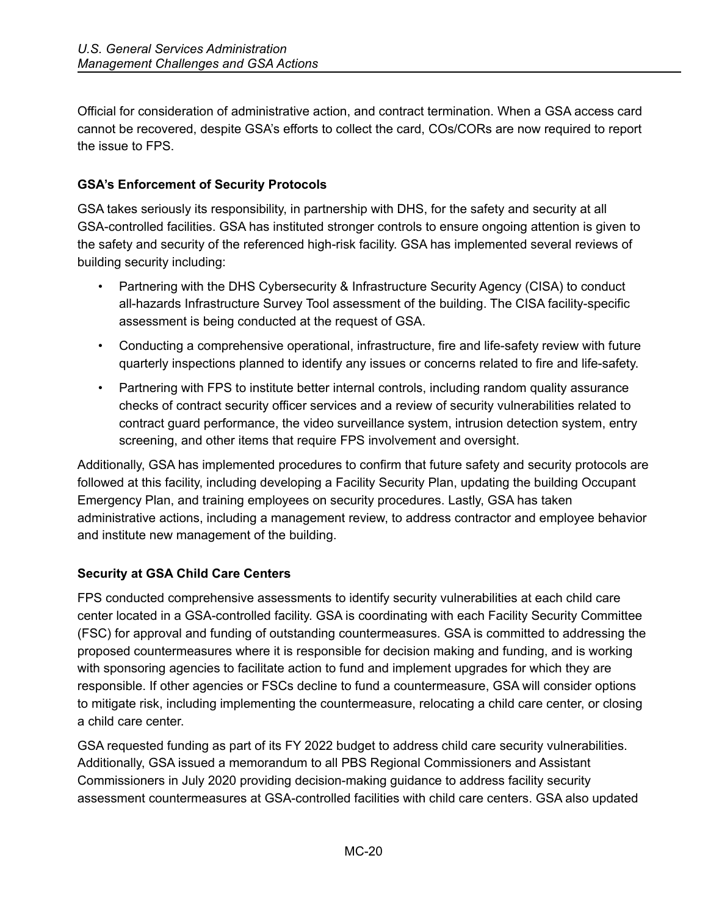Official for consideration of administrative action, and contract termination. When a GSA access card cannot be recovered, despite GSA's efforts to collect the card, COs/CORs are now required to report the issue to FPS.

# **GSA's Enforcement of Security Protocols**

GSA takes seriously its responsibility, in partnership with DHS, for the safety and security at all GSA-controlled facilities. GSA has instituted stronger controls to ensure ongoing attention is given to the safety and security of the referenced high-risk facility. GSA has implemented several reviews of building security including:

- Partnering with the DHS Cybersecurity & Infrastructure Security Agency (CISA) to conduct all-hazards Infrastructure Survey Tool assessment of the building. The CISA facility-specific assessment is being conducted at the request of GSA.
- Conducting a comprehensive operational, infrastructure, fire and life-safety review with future quarterly inspections planned to identify any issues or concerns related to fire and life-safety.
- Partnering with FPS to institute better internal controls, including random quality assurance checks of contract security officer services and a review of security vulnerabilities related to contract guard performance, the video surveillance system, intrusion detection system, entry screening, and other items that require FPS involvement and oversight.

Additionally, GSA has implemented procedures to confirm that future safety and security protocols are followed at this facility, including developing a Facility Security Plan, updating the building Occupant Emergency Plan, and training employees on security procedures. Lastly, GSA has taken administrative actions, including a management review, to address contractor and employee behavior and institute new management of the building.

# **Security at GSA Child Care Centers**

FPS conducted comprehensive assessments to identify security vulnerabilities at each child care center located in a GSA-controlled facility. GSA is coordinating with each Facility Security Committee (FSC) for approval and funding of outstanding countermeasures. GSA is committed to addressing the proposed countermeasures where it is responsible for decision making and funding, and is working with sponsoring agencies to facilitate action to fund and implement upgrades for which they are responsible. If other agencies or FSCs decline to fund a countermeasure, GSA will consider options to mitigate risk, including implementing the countermeasure, relocating a child care center, or closing a child care center.

GSA requested funding as part of its FY 2022 budget to address child care security vulnerabilities. Additionally, GSA issued a memorandum to all PBS Regional Commissioners and Assistant Commissioners in July 2020 providing decision-making guidance to address facility security assessment countermeasures at GSA-controlled facilities with child care centers. GSA also updated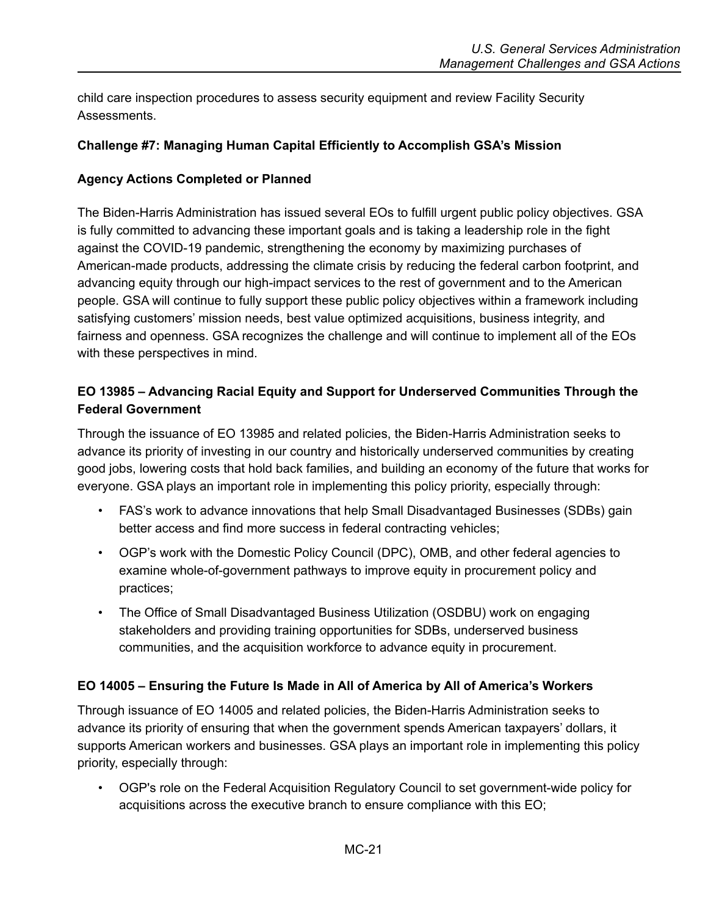child care inspection procedures to assess security equipment and review Facility Security Assessments.

#### <span id="page-20-0"></span>**Challenge #7: Managing Human Capital Efficiently to Accomplish GSA's Mission**

#### <span id="page-20-1"></span>**Agency Actions Completed or Planned**

The Biden-Harris Administration has issued several EOs to fulfill urgent public policy objectives. GSA is fully committed to advancing these important goals and is taking a leadership role in the fight against the COVID-19 pandemic, strengthening the economy by maximizing purchases of American-made products, addressing the climate crisis by reducing the federal carbon footprint, and advancing equity through our high-impact services to the rest of government and to the American people. GSA will continue to fully support these public policy objectives within a framework including satisfying customers' mission needs, best value optimized acquisitions, business integrity, and fairness and openness. GSA recognizes the challenge and will continue to implement all of the EOs with these perspectives in mind.

## **EO 13985 – Advancing Racial Equity and Support for Underserved Communities Through the Federal Government**

Through the issuance of EO 13985 and related policies, the Biden-Harris Administration seeks to advance its priority of investing in our country and historically underserved communities by creating good jobs, lowering costs that hold back families, and building an economy of the future that works for everyone. GSA plays an important role in implementing this policy priority, especially through:

- FAS's work to advance innovations that help Small Disadvantaged Businesses (SDBs) gain better access and find more success in federal contracting vehicles;
- OGP's work with the Domestic Policy Council (DPC), OMB, and other federal agencies to examine whole-of-government pathways to improve equity in procurement policy and practices;
- The Office of Small Disadvantaged Business Utilization (OSDBU) work on engaging stakeholders and providing training opportunities for SDBs, underserved business communities, and the acquisition workforce to advance equity in procurement.

### **EO 14005 – Ensuring the Future Is Made in All of America by All of America's Workers**

Through issuance of EO 14005 and related policies, the Biden-Harris Administration seeks to advance its priority of ensuring that when the government spends American taxpayers' dollars, it supports American workers and businesses. GSA plays an important role in implementing this policy priority, especially through:

• OGP's role on the Federal Acquisition Regulatory Council to set government-wide policy for acquisitions across the executive branch to ensure compliance with this EO;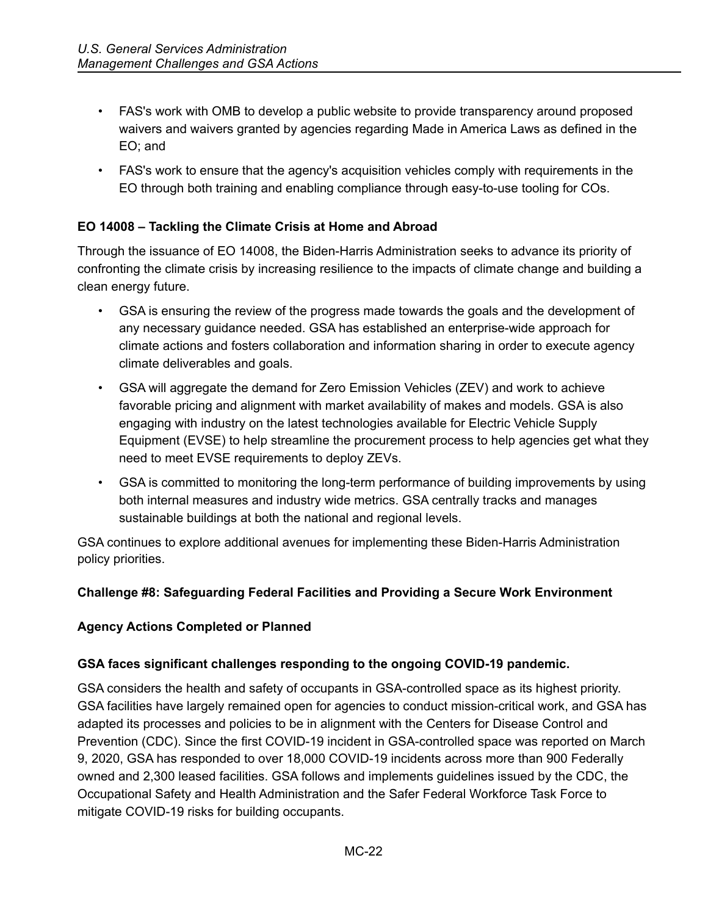- FAS's work with OMB to develop a public website to provide transparency around proposed waivers and waivers granted by agencies regarding Made in America Laws as defined in the EO; and
- FAS's work to ensure that the agency's acquisition vehicles comply with requirements in the EO through both training and enabling compliance through easy-to-use tooling for COs.

# **EO 14008 – Tackling the Climate Crisis at Home and Abroad**

Through the issuance of EO 14008, the Biden-Harris Administration seeks to advance its priority of confronting the climate crisis by increasing resilience to the impacts of climate change and building a clean energy future.

- GSA is ensuring the review of the progress made towards the goals and the development of any necessary guidance needed. GSA has established an enterprise-wide approach for climate actions and fosters collaboration and information sharing in order to execute agency climate deliverables and goals.
- GSA will aggregate the demand for Zero Emission Vehicles (ZEV) and work to achieve favorable pricing and alignment with market availability of makes and models. GSA is also engaging with industry on the latest technologies available for Electric Vehicle Supply Equipment (EVSE) to help streamline the procurement process to help agencies get what they need to meet EVSE requirements to deploy ZEVs.
- GSA is committed to monitoring the long-term performance of building improvements by using both internal measures and industry wide metrics. GSA centrally tracks and manages sustainable buildings at both the national and regional levels.

GSA continues to explore additional avenues for implementing these Biden-Harris Administration policy priorities.

### <span id="page-21-0"></span>**Challenge #8: Safeguarding Federal Facilities and Providing a Secure Work Environment**

### <span id="page-21-1"></span>**Agency Actions Completed or Planned**

### **GSA faces significant challenges responding to the ongoing COVID-19 pandemic.**

GSA considers the health and safety of occupants in GSA-controlled space as its highest priority. GSA facilities have largely remained open for agencies to conduct mission-critical work, and GSA has adapted its processes and policies to be in alignment with the Centers for Disease Control and Prevention (CDC). Since the first COVID-19 incident in GSA-controlled space was reported on March 9, 2020, GSA has responded to over 18,000 COVID-19 incidents across more than 900 Federally owned and 2,300 leased facilities. GSA follows and implements guidelines issued by the CDC, the Occupational Safety and Health Administration and the Safer Federal Workforce Task Force to mitigate COVID-19 risks for building occupants.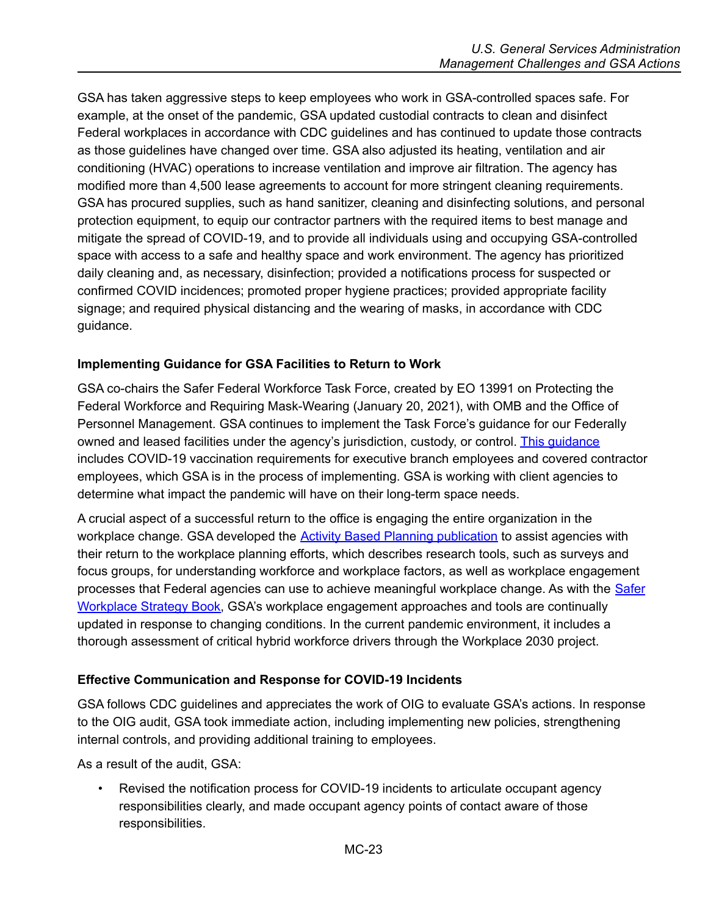GSA has taken aggressive steps to keep employees who work in GSA-controlled spaces safe. For example, at the onset of the pandemic, GSA updated custodial contracts to clean and disinfect Federal workplaces in accordance with CDC guidelines and has continued to update those contracts as those guidelines have changed over time. GSA also adjusted its heating, ventilation and air conditioning (HVAC) operations to increase ventilation and improve air filtration. The agency has modified more than 4,500 lease agreements to account for more stringent cleaning requirements. GSA has procured supplies, such as hand sanitizer, cleaning and disinfecting solutions, and personal protection equipment, to equip our contractor partners with the required items to best manage and mitigate the spread of COVID-19, and to provide all individuals using and occupying GSA-controlled space with access to a safe and healthy space and work environment. The agency has prioritized daily cleaning and, as necessary, disinfection; provided a notifications process for suspected or confirmed COVID incidences; promoted proper hygiene practices; provided appropriate facility signage; and required physical distancing and the wearing of masks, in accordance with CDC guidance.

### **Implementing Guidance for GSA Facilities to Return to Work**

GSA co-chairs the Safer Federal Workforce Task Force, created by EO 13991 on Protecting the Federal Workforce and Requiring Mask-Wearing (January 20, 2021), with OMB and the Office of Personnel Management. GSA continues to implement the Task Force's guidance for our Federally owned and leased facilities under the agency's jurisdiction, custody, or control. This [guidance](https://www.gsa.gov/cdnstatic/508_2021_10_08_GSA_Strategy_Book_7_0.pdf) includes COVID-19 vaccination requirements for executive branch employees and covered contractor employees, which GSA is in the process of implementing. GSA is working with client agencies to determine what impact the pandemic will have on their long-term space needs.

A crucial aspect of a successful return to the office is engaging the entire organization in the workplace change. GSA developed the Activity Based Planning [publication](https://www.gsa.gov/cdnstatic/GSA%20Workplace%20Matters%20ABP%20(FINAL%20-%20508%20Compliant).pdf) to assist agencies with their return to the workplace planning efforts, which describes research tools, such as surveys and focus groups, for understanding workforce and workplace factors, as well as workplace engagement processes that Federal agencies can use to achieve meaningful workplace change. As with the [Safer](https://www.gsa.gov/cdnstatic/508_2021_10_08_GSA_Strategy_Book_7_0.pdf) [Workplace](https://www.gsa.gov/cdnstatic/508_2021_10_08_GSA_Strategy_Book_7_0.pdf) Strategy Book, GSA's workplace engagement approaches and tools are continually updated in response to changing conditions. In the current pandemic environment, it includes a thorough assessment of critical hybrid workforce drivers through the Workplace 2030 project.

### **Effective Communication and Response for COVID-19 Incidents**

GSA follows CDC guidelines and appreciates the work of OIG to evaluate GSA's actions. In response to the OIG audit, GSA took immediate action, including implementing new policies, strengthening internal controls, and providing additional training to employees.

As a result of the audit, GSA:

• Revised the notification process for COVID-19 incidents to articulate occupant agency responsibilities clearly, and made occupant agency points of contact aware of those responsibilities.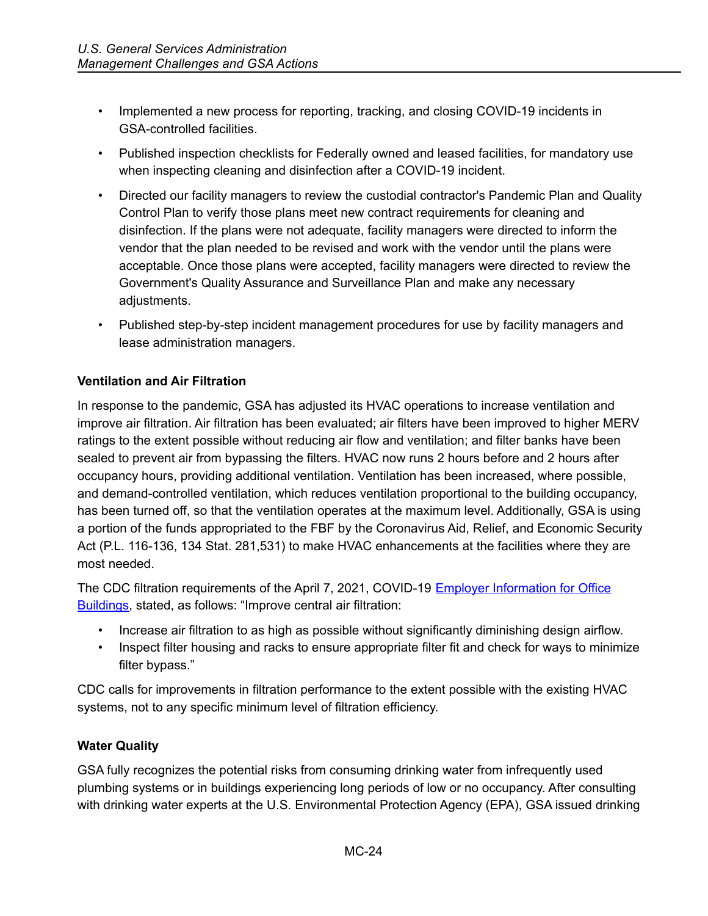- Implemented a new process for reporting, tracking, and closing COVID-19 incidents in GSA-controlled facilities.
- Published inspection checklists for Federally owned and leased facilities, for mandatory use when inspecting cleaning and disinfection after a COVID-19 incident.
- Directed our facility managers to review the custodial contractor's Pandemic Plan and Quality Control Plan to verify those plans meet new contract requirements for cleaning and disinfection. If the plans were not adequate, facility managers were directed to inform the vendor that the plan needed to be revised and work with the vendor until the plans were acceptable. Once those plans were accepted, facility managers were directed to review the Government's Quality Assurance and Surveillance Plan and make any necessary adjustments.
- Published step-by-step incident management procedures for use by facility managers and lease administration managers.

### **Ventilation and Air Filtration**

In response to the pandemic, GSA has adjusted its HVAC operations to increase ventilation and improve air filtration. Air filtration has been evaluated; air filters have been improved to higher MERV ratings to the extent possible without reducing air flow and ventilation; and filter banks have been sealed to prevent air from bypassing the filters. HVAC now runs 2 hours before and 2 hours after occupancy hours, providing additional ventilation. Ventilation has been increased, where possible, and demand-controlled ventilation, which reduces ventilation proportional to the building occupancy, has been turned off, so that the ventilation operates at the maximum level. Additionally, GSA is using a portion of the funds appropriated to the FBF by the Coronavirus Aid, Relief, and Economic Security Act (P.L. 116-136, 134 Stat. 281,531) to make HVAC enhancements at the facilities where they are most needed.

The CDC filtration requirements of the April 7, 2021, COVID-19 Employer [Information](https://www.cdc.gov/coronavirus/2019-ncov/community/office-buildings.html) for Office [Buildings,](https://www.cdc.gov/coronavirus/2019-ncov/community/office-buildings.html) stated, as follows: "Improve central air filtration:

- Increase air filtration to as high as possible without significantly diminishing design airflow.
- Inspect filter housing and racks to ensure appropriate filter fit and check for ways to minimize filter bypass."

CDC calls for improvements in filtration performance to the extent possible with the existing HVAC systems, not to any specific minimum level of filtration efficiency.

### **Water Quality**

GSA fully recognizes the potential risks from consuming drinking water from infrequently used plumbing systems or in buildings experiencing long periods of low or no occupancy. After consulting with drinking water experts at the U.S. Environmental Protection Agency (EPA), GSA issued drinking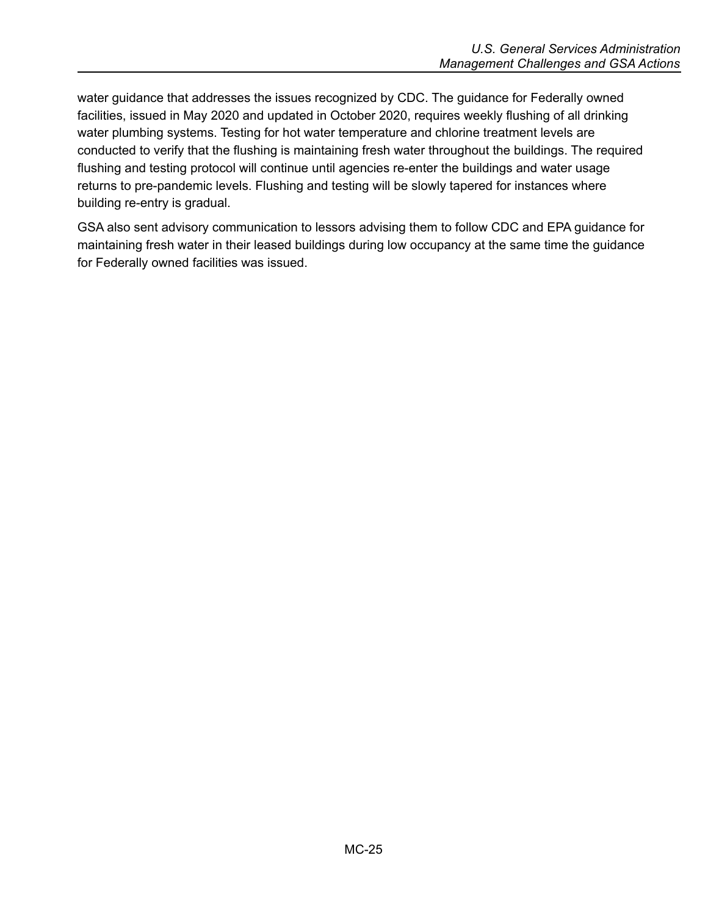water guidance that addresses the issues recognized by CDC. The guidance for Federally owned facilities, issued in May 2020 and updated in October 2020, requires weekly flushing of all drinking water plumbing systems. Testing for hot water temperature and chlorine treatment levels are conducted to verify that the flushing is maintaining fresh water throughout the buildings. The required flushing and testing protocol will continue until agencies re-enter the buildings and water usage returns to pre-pandemic levels. Flushing and testing will be slowly tapered for instances where building re-entry is gradual.

GSA also sent advisory communication to lessors advising them to follow CDC and EPA guidance for maintaining fresh water in their leased buildings during low occupancy at the same time the guidance for Federally owned facilities was issued.